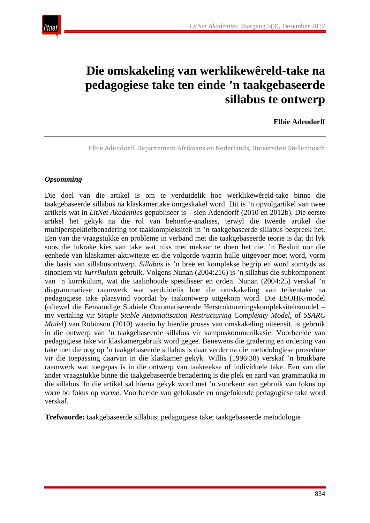

# **Die omskakeling van werklikewêreld-take na pedagogiese take ten einde 'n taakgebaseerde sillabus te ontwerp**

#### **Elbie Adendorff**

Elbie Adendorff, Departement Afrikaans en Nederlands, Universiteit Stellenbosch

#### *Opsomming*

Die doel van die artikel is om te verduidelik hoe werklikewêreld-take binne die taakgebaseerde sillabus na klaskamertake omgeskakel word. Dit is 'n opvolgartikel van twee artikels wat in *LitNet Akademies* gepubliseer is – sien Adendorff (2010 en 2012b). Die eerste artikel het gekyk na die rol van behoefte-analises, terwyl die tweede artikel die multiperspektiefbenadering tot taakkompleksiteit in 'n taakgebaseerde sillabus bespreek het. Een van die vraagstukke en probleme in verband met die taakgebaseerde teorie is dat dit lyk soos die lukrake kies van take wat niks met mekaar te doen het nie. 'n Besluit oor die eenhede van klaskamer-aktiwiteite en die volgorde waarin hulle uitgevoer moet word, vorm die basis van sillabusontwerp. *Sillabus* is 'n breë en komplekse begrip en word somtyds as sinoniem vir *kurrikulum* gebruik. Volgens Nunan (2004:216) is 'n sillabus die subkomponent van 'n kurrikulum, wat die taalinhoude spesifiseer en orden. Nunan (2004:25) verskaf 'n diagrammatiese raamwerk wat verduidelik hoe die omskakeling van teikentake na pedagogiese take plaasvind voordat by taakontwerp uitgekom word. Die ESOHK-model (oftewel die Eenvoudige Stabiele Outomatiserende Herstruktureringskompleksiteitsmodel – my vertaling vir *Simple Stable Automatisation Restructuring Complexity Model*, of *SSARC Mode*l) van Robinson (2010) waarin hy hierdie proses van omskakeling uiteensit, is gebruik in die ontwerp van 'n taakgebaseerde sillabus vir kampuskommunikasie. Voorbeelde van pedagogiese take vir klaskamergebruik word gegee. Benewens die gradering en ordening van take met die oog op 'n taakgebaseerde sillabus is daar verder na die metodologiese prosedure vir die toepassing daarvan in die klaskamer gekyk. Willis (1996:38) verskaf 'n bruikbare raamwerk wat toegepas is in die ontwerp van taakreekse of individuele take. Een van die ander vraagstukke binne die taakgebaseerde benadering is die plek en aard van grammatika in die sillabus. In die artikel sal hierna gekyk word met 'n voorkeur aan gebruik van fokus op *vorm* bo fokus op *vorme*. Voorbeelde van gefokusde en ongefokusde pedagogiese take word verskaf.

**Trefwoorde:** taakgebaseerde sillabus; pedagogiese take; taakgebaseerde metodologie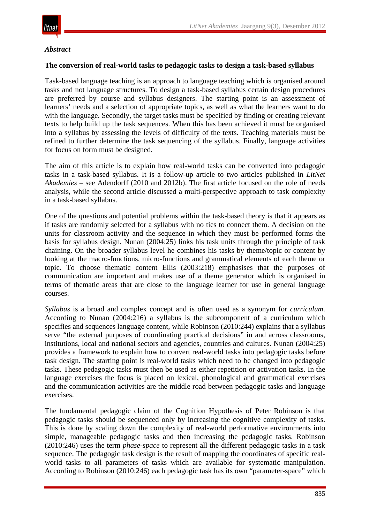

## *Abstract*

#### **The conversion of real-world tasks to pedagogic tasks to design a task-based syllabus**

Task-based language teaching is an approach to language teaching which is organised around tasks and not language structures. To design a task-based syllabus certain design procedures are preferred by course and syllabus designers. The starting point is an assessment of learners' needs and a selection of appropriate topics, as well as what the learners want to do with the language. Secondly, the target tasks must be specified by finding or creating relevant texts to help build up the task sequences. When this has been achieved it must be organised into a syllabus by assessing the levels of difficulty of the texts. Teaching materials must be refined to further determine the task sequencing of the syllabus. Finally, language activities for focus on form must be designed.

The aim of this article is to explain how real-world tasks can be converted into pedagogic tasks in a task-based syllabus. It is a follow-up article to two articles published in *LitNet Akademies* – see Adendorff (2010 and 2012b). The first article focused on the role of needs analysis, while the second article discussed a multi-perspective approach to task complexity in a task-based syllabus.

One of the questions and potential problems within the task-based theory is that it appears as if tasks are randomly selected for a syllabus with no ties to connect them. A decision on the units for classroom activity and the sequence in which they must be performed forms the basis for syllabus design. Nunan (2004:25) links his task units through the principle of task chaining. On the broader syllabus level he combines his tasks by theme/topic or content by looking at the macro-functions, micro-functions and grammatical elements of each theme or topic. To choose thematic content Ellis (2003:218) emphasises that the purposes of communication are important and makes use of a theme generator which is organised in terms of thematic areas that are close to the language learner for use in general language courses.

*Syllabus* is a broad and complex concept and is often used as a synonym for *curriculum*. According to Nunan (2004:216) a syllabus is the subcomponent of a curriculum which specifies and sequences language content, while Robinson (2010:244) explains that a syllabus serve "the external purposes of coordinating practical decisions" in and across classrooms, institutions, local and national sectors and agencies, countries and cultures. Nunan (2004:25) provides a framework to explain how to convert real-world tasks into pedagogic tasks before task design. The starting point is real-world tasks which need to be changed into pedagogic tasks. These pedagogic tasks must then be used as either repetition or activation tasks. In the language exercises the focus is placed on lexical, phonological and grammatical exercises and the communication activities are the middle road between pedagogic tasks and language exercises.

The fundamental pedagogic claim of the Cognition Hypothesis of Peter Robinson is that pedagogic tasks should be sequenced only by increasing the cognitive complexity of tasks. This is done by scaling down the complexity of real-world performative environments into simple, manageable pedagogic tasks and then increasing the pedagogic tasks. Robinson (2010:246) uses the term *phase-space* to represent all the different pedagogic tasks in a task sequence. The pedagogic task design is the result of mapping the coordinates of specific realworld tasks to all parameters of tasks which are available for systematic manipulation. According to Robinson (2010:246) each pedagogic task has its own "parameter-space" which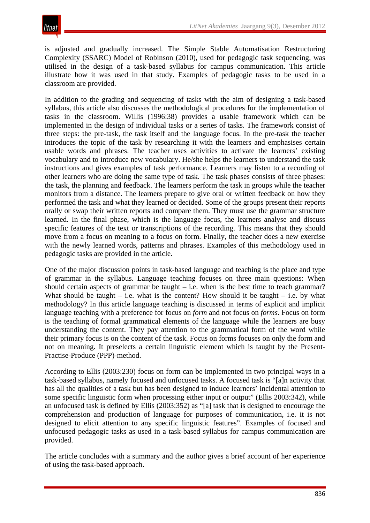is adjusted and gradually increased. The Simple Stable Automatisation Restructuring Complexity (SSARC) Model of Robinson (2010), used for pedagogic task sequencing, was utilised in the design of a task-based syllabus for campus communication. This article illustrate how it was used in that study. Examples of pedagogic tasks to be used in a classroom are provided.

In addition to the grading and sequencing of tasks with the aim of designing a task-based syllabus, this article also discusses the methodological procedures for the implementation of tasks in the classroom. Willis (1996:38) provides a usable framework which can be implemented in the design of individual tasks or a series of tasks. The framework consist of three steps: the pre-task, the task itself and the language focus. In the pre-task the teacher introduces the topic of the task by researching it with the learners and emphasises certain usable words and phrases. The teacher uses activities to activate the learners' existing vocabulary and to introduce new vocabulary. He/she helps the learners to understand the task instructions and gives examples of task performance. Learners may listen to a recording of other learners who are doing the same type of task. The task phases consists of three phases: the task, the planning and feedback. The learners perform the task in groups while the teacher monitors from a distance. The learners prepare to give oral or written feedback on how they performed the task and what they learned or decided. Some of the groups present their reports orally or swap their written reports and compare them. They must use the grammar structure learned. In the final phase, which is the language focus, the learners analyse and discuss specific features of the text or transcriptions of the recording. This means that they should move from a focus on meaning to a focus on form. Finally, the teacher does a new exercise with the newly learned words, patterns and phrases. Examples of this methodology used in pedagogic tasks are provided in the article.

One of the major discussion points in task-based language and teaching is the place and type of grammar in the syllabus. Language teaching focuses on three main questions: When should certain aspects of grammar be taught  $-$  i.e. when is the best time to teach grammar? What should be taught – i.e. what is the content? How should it be taught – i.e. by what methodology? In this article language teaching is discussed in terms of explicit and implicit language teaching with a preference for focus on *form* and not focus on *forms*. Focus on form is the teaching of formal grammatical elements of the language while the learners are busy understanding the content. They pay attention to the grammatical form of the word while their primary focus is on the content of the task. Focus on forms focuses on only the form and not on meaning. It preselects a certain linguistic element which is taught by the Present-Practise-Produce (PPP)-method.

According to Ellis (2003:230) focus on form can be implemented in two principal ways in a task-based syllabus, namely focused and unfocused tasks. A focused task is "[a]n activity that has all the qualities of a task but has been designed to induce learners' incidental attention to some specific linguistic form when processing either input or output" (Ellis 2003:342), while an unfocused task is defined by Ellis (2003:352) as "[a] task that is designed to encourage the comprehension and production of language for purposes of communication, i.e. it is not designed to elicit attention to any specific linguistic features". Examples of focused and unfocused pedagogic tasks as used in a task-based syllabus for campus communication are provided.

The article concludes with a summary and the author gives a brief account of her experience of using the task-based approach.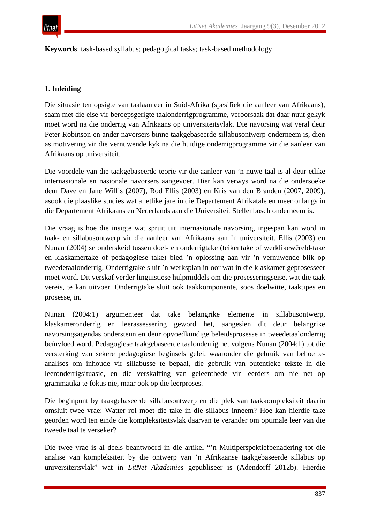

**Keywords**: task-based syllabus; pedagogical tasks; task-based methodology

# **1. Inleiding**

Die situasie ten opsigte van taalaanleer in Suid-Afrika (spesifiek die aanleer van Afrikaans), saam met die eise vir beroepsgerigte taalonderrigprogramme, veroorsaak dat daar nuut gekyk moet word na die onderrig van Afrikaans op universiteitsvlak. Die navorsing wat veral deur Peter Robinson en ander navorsers binne taakgebaseerde sillabusontwerp onderneem is, dien as motivering vir die vernuwende kyk na die huidige onderrigprogramme vir die aanleer van Afrikaans op universiteit.

Die voordele van die taakgebaseerde teorie vir die aanleer van 'n nuwe taal is al deur etlike internasionale en nasionale navorsers aangevoer. Hier kan verwys word na die ondersoeke deur Dave en Jane Willis (2007), Rod Ellis (2003) en Kris van den Branden (2007, 2009), asook die plaaslike studies wat al etlike jare in die Departement Afrikatale en meer onlangs in die Departement Afrikaans en Nederlands aan die Universiteit Stellenbosch onderneem is.

Die vraag is hoe die insigte wat spruit uit internasionale navorsing, ingespan kan word in taak- en sillabusontwerp vir die aanleer van Afrikaans aan 'n universiteit. Ellis (2003) en Nunan (2004) se onderskeid tussen doel- en onderrigtake (teikentake of werklikewêreld-take en klaskamertake of pedagogiese take) bied 'n oplossing aan vir 'n vernuwende blik op tweedetaalonderrig. Onderrigtake sluit 'n werksplan in oor wat in die klaskamer geprosesseer moet word. Dit verskaf verder linguistiese hulpmiddels om die prosesseringseise, wat die taak vereis, te kan uitvoer. Onderrigtake sluit ook taakkomponente, soos doelwitte, taaktipes en prosesse, in.

Nunan (2004:1) argumenteer dat take belangrike elemente in sillabusontwerp, klaskameronderrig en leerassessering geword het, aangesien dit deur belangrike navorsingsagendas ondersteun en deur opvoedkundige beleidsprosesse in tweedetaalonderrig beïnvloed word. Pedagogiese taakgebaseerde taalonderrig het volgens Nunan (2004:1) tot die versterking van sekere pedagogiese beginsels gelei, waaronder die gebruik van behoefteanalises om inhoude vir sillabusse te bepaal, die gebruik van outentieke tekste in die leeronderrigsituasie, en die verskaffing van geleenthede vir leerders om nie net op grammatika te fokus nie, maar ook op die leerproses.

Die beginpunt by taakgebaseerde sillabusontwerp en die plek van taakkompleksiteit daarin omsluit twee vrae: Watter rol moet die take in die sillabus inneem? Hoe kan hierdie take georden word ten einde die kompleksiteitsvlak daarvan te verander om optimale leer van die tweede taal te verseker?

Die twee vrae is al deels beantwoord in die artikel "'n Multiperspektiefbenadering tot die analise van kompleksiteit by die ontwerp van 'n Afrikaanse taakgebaseerde sillabus op universiteitsvlak" wat in *LitNet Akademies* gepubliseer is (Adendorff 2012b). Hierdie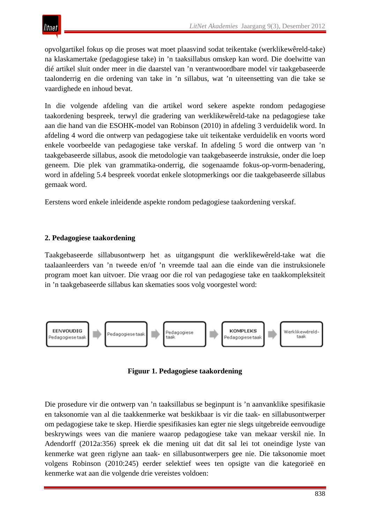opvolgartikel fokus op die proses wat moet plaasvind sodat teikentake (werklikewêreld-take) na klaskamertake (pedagogiese take) in 'n taaksillabus omskep kan word. Die doelwitte van dié artikel sluit onder meer in die daarstel van 'n verantwoordbare model vir taakgebaseerde taalonderrig en die ordening van take in 'n sillabus, wat 'n uiteensetting van die take se vaardighede en inhoud bevat.

In die volgende afdeling van die artikel word sekere aspekte rondom pedagogiese taakordening bespreek, terwyl die gradering van werklikewêreld-take na pedagogiese take aan die hand van die ESOHK-model van Robinson (2010) in afdeling 3 verduidelik word. In afdeling 4 word die ontwerp van pedagogiese take uit teikentake verduidelik en voorts word enkele voorbeelde van pedagogiese take verskaf. In afdeling 5 word die ontwerp van 'n taakgebaseerde sillabus, asook die metodologie van taakgebaseerde instruksie, onder die loep geneem. Die plek van grammatika-onderrig, die sogenaamde fokus-op-vorm-benadering, word in afdeling 5.4 bespreek voordat enkele slotopmerkings oor die taakgebaseerde sillabus gemaak word.

Eerstens word enkele inleidende aspekte rondom pedagogiese taakordening verskaf.

# **2. Pedagogiese taakordening**

Taakgebaseerde sillabusontwerp het as uitgangspunt die werklikewêreld-take wat die taalaanleerders van 'n tweede en/of 'n vreemde taal aan die einde van die instruksionele program moet kan uitvoer. Die vraag oor die rol van pedagogiese take en taakkompleksiteit in 'n taakgebaseerde sillabus kan skematies soos volg voorgestel word:



**Figuur 1. Pedagogiese taakordening**

Die prosedure vir die ontwerp van 'n taaksillabus se beginpunt is 'n aanvanklike spesifikasie en taksonomie van al die taakkenmerke wat beskikbaar is vir die taak- en sillabusontwerper om pedagogiese take te skep. Hierdie spesifikasies kan egter nie slegs uitgebreide eenvoudige beskrywings wees van die maniere waarop pedagogiese take van mekaar verskil nie. In Adendorff (2012a:356) spreek ek die mening uit dat dit sal lei tot oneindige lyste van kenmerke wat geen riglyne aan taak- en sillabusontwerpers gee nie. Die taksonomie moet volgens Robinson (2010:245) eerder selektief wees ten opsigte van die kategorieë en kenmerke wat aan die volgende drie vereistes voldoen: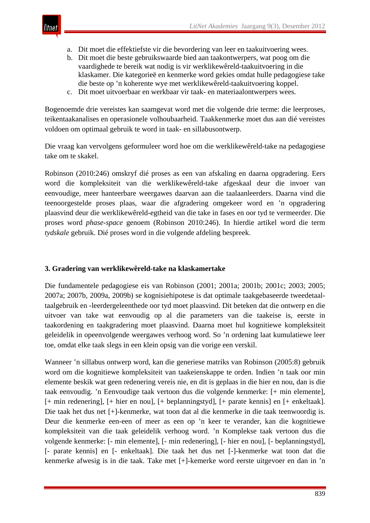

- a. Dit moet die effektiefste vir die bevordering van leer en taakuitvoering wees.
- b. Dit moet die beste gebruikswaarde bied aan taakontwerpers, wat poog om die vaardighede te bereik wat nodig is vir werklikewêreld-taakuitvoering in die klaskamer. Die kategorieë en kenmerke word gekies omdat hulle pedagogiese take die beste op 'n koherente wye met werklikewêreld-taakuitvoering koppel.
- c. Dit moet uitvoerbaar en werkbaar vir taak- en materiaalontwerpers wees.

Bogenoemde drie vereistes kan saamgevat word met die volgende drie terme: die leerproses, teikentaakanalises en operasionele volhoubaarheid. Taakkenmerke moet dus aan dié vereistes voldoen om optimaal gebruik te word in taak- en sillabusontwerp.

Die vraag kan vervolgens geformuleer word hoe om die werklikewêreld-take na pedagogiese take om te skakel.

Robinson (2010:246) omskryf dié proses as een van afskaling en daarna opgradering. Eers word die kompleksiteit van die werklikewêreld-take afgeskaal deur die invoer van eenvoudige, meer hanteerbare weergawes daarvan aan die taalaanleerders. Daarna vind die teenoorgestelde proses plaas, waar die afgradering omgekeer word en 'n opgradering plaasvind deur die werklikewêreld-egtheid van die take in fases en oor tyd te vermeerder. Die proses word *phase-space* genoem (Robinson 2010:246). In hierdie artikel word die term *tydskale* gebruik. Dié proses word in die volgende afdeling bespreek.

#### **3. Gradering van werklikewêreld-take na klaskamertake**

Die fundamentele pedagogiese eis van Robinson (2001; 2001a; 2001b; 2001c; 2003; 2005; 2007a; 2007b, 2009a, 2009b) se kognisiehipotese is dat optimale taakgebaseerde tweedetaaltaalgebruik en -leerdergeleenthede oor tyd moet plaasvind. Dit beteken dat die ontwerp en die uitvoer van take wat eenvoudig op al die parameters van die taakeise is, eerste in taakordening en taakgradering moet plaasvind. Daarna moet hul kognitiewe kompleksiteit geleidelik in opeenvolgende weergawes verhoog word. So 'n ordening laat kumulatiewe leer toe, omdat elke taak slegs in een klein opsig van die vorige een verskil.

Wanneer 'n sillabus ontwerp word, kan die generiese matriks van Robinson (2005:8) gebruik word om die kognitiewe kompleksiteit van taakeienskappe te orden. Indien 'n taak oor min elemente beskik wat geen redenering vereis nie, en dit is geplaas in die hier en nou, dan is die taak eenvoudig. 'n Eenvoudige taak vertoon dus die volgende kenmerke: [+ min elemente], [+ min redenering], [+ hier en nou], [+ beplanningstyd], [+ parate kennis] en [+ enkeltaak]. Die taak het dus net [+]-kenmerke, wat toon dat al die kenmerke in die taak teenwoordig is. Deur die kenmerke een-een of meer as een op 'n keer te verander, kan die kognitiewe kompleksiteit van die taak geleidelik verhoog word. 'n Komplekse taak vertoon dus die volgende kenmerke: [- min elemente], [- min redenering], [- hier en nou], [- beplanningstyd], [- parate kennis] en [- enkeltaak]. Die taak het dus net [-]-kenmerke wat toon dat die kenmerke afwesig is in die taak. Take met [+]-kemerke word eerste uitgevoer en dan in 'n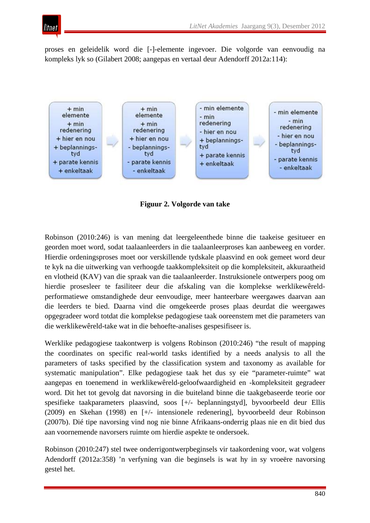

proses en geleidelik word die [-]-elemente ingevoer. Die volgorde van eenvoudig na kompleks lyk so (Gilabert 2008; aangepas en vertaal deur Adendorff 2012a:114):



**Figuur 2. Volgorde van take**

Robinson (2010:246) is van mening dat leergeleenthede binne die taakeise gesitueer en georden moet word, sodat taalaanleerders in die taalaanleerproses kan aanbeweeg en vorder. Hierdie ordeningsproses moet oor verskillende tydskale plaasvind en ook gemeet word deur te kyk na die uitwerking van verhoogde taakkompleksiteit op die kompleksiteit, akkuraatheid en vlotheid (KAV) van die spraak van die taalaanleerder. Instruksionele ontwerpers poog om hierdie prosesleer te fasiliteer deur die afskaling van die komplekse werklikewêreldperformatiewe omstandighede deur eenvoudige, meer hanteerbare weergawes daarvan aan die leerders te bied. Daarna vind die omgekeerde proses plaas deurdat die weergawes opgegradeer word totdat die komplekse pedagogiese taak ooreenstem met die parameters van die werklikewêreld-take wat in die behoefte-analises gespesifiseer is.

Werklike pedagogiese taakontwerp is volgens Robinson (2010:246) "the result of mapping the coordinates on specific real-world tasks identified by a needs analysis to all the parameters of tasks specified by the classification system and taxonomy as available for systematic manipulation". Elke pedagogiese taak het dus sy eie "parameter-ruimte" wat aangepas en toenemend in werklikewêreld-geloofwaardigheid en -kompleksiteit gegradeer word. Dit het tot gevolg dat navorsing in die buiteland binne die taakgebaseerde teorie oor spesifieke taakparameters plaasvind, soos [+/- beplanningstyd], byvoorbeeld deur Ellis (2009) en Skehan (1998) en [+/- intensionele redenering], byvoorbeeld deur Robinson (2007b). Dié tipe navorsing vind nog nie binne Afrikaans-onderrig plaas nie en dit bied dus aan voornemende navorsers ruimte om hierdie aspekte te ondersoek.

Robinson (2010:247) stel twee onderrigontwerpbeginsels vir taakordening voor, wat volgens Adendorff (2012a:358) 'n verfyning van die beginsels is wat hy in sy vroeëre navorsing gestel het.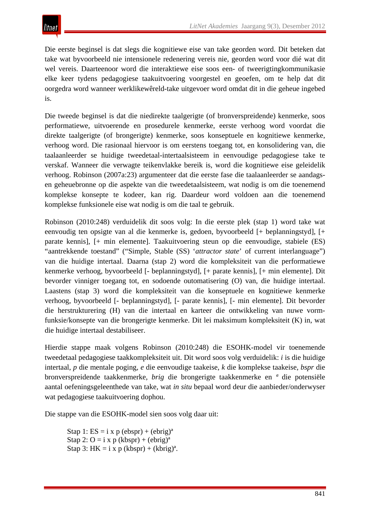Die eerste beginsel is dat slegs die kognitiewe eise van take georden word. Dit beteken dat take wat byvoorbeeld nie intensionele redenering vereis nie, georden word voor dié wat dit wel vereis. Daarteenoor word die interaktiewe eise soos een- of tweerigtingkommunikasie elke keer tydens pedagogiese taakuitvoering voorgestel en geoefen, om te help dat dit oorgedra word wanneer werklikewêreld-take uitgevoer word omdat dit in die geheue ingebed is.

Die tweede beginsel is dat die niedirekte taalgerigte (of bronverspreidende) kenmerke, soos performatiewe, uitvoerende en prosedurele kenmerke, eerste verhoog word voordat die direkte taalgerigte (of brongerigte) kenmerke, soos konseptuele en kognitiewe kenmerke, verhoog word. Die rasionaal hiervoor is om eerstens toegang tot, en konsolidering van, die taalaanleerder se huidige tweedetaal-intertaalsisteem in eenvoudige pedagogiese take te verskaf. Wanneer die verwagte teikenvlakke bereik is, word die kognitiewe eise geleidelik verhoog. Robinson (2007a:23) argumenteer dat die eerste fase die taalaanleerder se aandagsen geheuebronne op die aspekte van die tweedetaalsisteem, wat nodig is om die toenemend komplekse konsepte te kodeer, kan rig. Daardeur word voldoen aan die toenemend komplekse funksionele eise wat nodig is om die taal te gebruik.

Robinson (2010:248) verduidelik dit soos volg: In die eerste plek (stap 1) word take wat eenvoudig ten opsigte van al die kenmerke is, gedoen, byvoorbeeld [+ beplanningstyd], [+ parate kennis], [+ min elemente]. Taakuitvoering steun op die eenvoudige, stabiele (ES) "aantrekkende toestand" ("Simple, Stable (SS) '*attractor state*' of current interlanguage") van die huidige intertaal. Daarna (stap 2) word die kompleksiteit van die performatiewe kenmerke verhoog, byvoorbeeld [- beplanningstyd], [+ parate kennis], [+ min elemente]. Dit bevorder vinniger toegang tot, en sodoende outomatisering (O) van, die huidige intertaal. Laastens (stap 3) word die kompleksiteit van die konseptuele en kognitiewe kenmerke verhoog, byvoorbeeld [- beplanningstyd], [- parate kennis], [- min elemente]. Dit bevorder die herstrukturering (H) van die intertaal en karteer die ontwikkeling van nuwe vormfunksie/konsepte van die brongerigte kenmerke. Dit lei maksimum kompleksiteit (K) in, wat die huidige intertaal destabiliseer.

Hierdie stappe maak volgens Robinson (2010:248) die ESOHK-model vir toenemende tweedetaal pedagogiese taakkompleksiteit uit. Dit word soos volg verduidelik: *i* is die huidige intertaal, *p* die mentale poging, *e* die eenvoudige taakeise, *k* die komplekse taakeise, *bspr* die bronverspreidende taakkenmerke, *brig* die brongerigte taakkenmerke en *ª* die potensiële aantal oefeningsgeleenthede van take, wat *in situ* bepaal word deur die aanbieder/onderwyser wat pedagogiese taakuitvoering dophou.

Die stappe van die ESOHK-model sien soos volg daar uit:

Stap 1:  $ES = i x p (ebspr) + (ebrig)^a$ Stap 2:  $O = i x p (kbspr) + (ebrig)^a$ Stap 3: HK = i x p (kbspr) + (kbrig)<sup>a</sup>.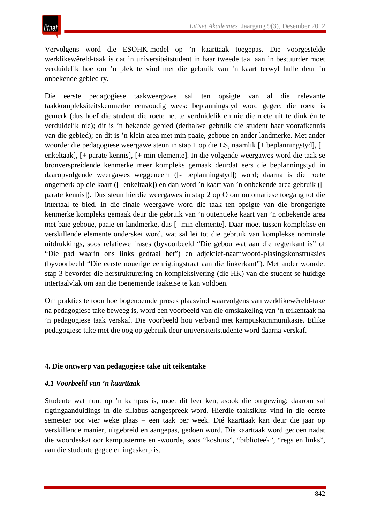Vervolgens word die ESOHK-model op 'n kaarttaak toegepas. Die voorgestelde werklikewêreld-taak is dat 'n universiteitstudent in haar tweede taal aan 'n bestuurder moet verduidelik hoe om 'n plek te vind met die gebruik van 'n kaart terwyl hulle deur 'n onbekende gebied ry.

Die eerste pedagogiese taakweergawe sal ten opsigte van al die relevante taakkompleksiteitskenmerke eenvoudig wees: beplanningstyd word gegee; die roete is gemerk (dus hoef die student die roete net te verduidelik en nie die roete uit te dink én te verduidelik nie); dit is 'n bekende gebied (derhalwe gebruik die student haar voorafkennis van die gebied); en dit is 'n klein area met min paaie, geboue en ander landmerke. Met ander woorde: die pedagogiese weergawe steun in stap 1 op die ES, naamlik [+ beplanningstyd], [+ enkeltaak], [+ parate kennis], [+ min elemente]. In die volgende weergawes word die taak se bronverspreidende kenmerke meer kompleks gemaak deurdat eers die beplanningstyd in daaropvolgende weergawes weggeneem ([- beplanningstyd]) word; daarna is die roete ongemerk op die kaart ([- enkeltaak]) en dan word 'n kaart van 'n onbekende area gebruik ([ parate kennis]). Dus steun hierdie weergawes in stap 2 op O om outomatiese toegang tot die intertaal te bied. In die finale weergawe word die taak ten opsigte van die brongerigte kenmerke kompleks gemaak deur die gebruik van 'n outentieke kaart van 'n onbekende area met baie geboue, paaie en landmerke, dus [- min elemente]. Daar moet tussen komplekse en verskillende elemente onderskei word, wat sal lei tot die gebruik van komplekse nominale uitdrukkings, soos relatiewe frases (byvoorbeeld "Die gebou wat aan die regterkant is" of "Die pad waarin ons links gedraai het") en adjektief-naamwoord-plasingskonstruksies (byvoorbeeld "Die eerste nouerige eenrigtingstraat aan die linkerkant"). Met ander woorde: stap 3 bevorder die herstrukturering en kompleksivering (die HK) van die student se huidige intertaalvlak om aan die toenemende taakeise te kan voldoen.

Om prakties te toon hoe bogenoemde proses plaasvind waarvolgens van werklikewêreld-take na pedagogiese take beweeg is, word een voorbeeld van die omskakeling van 'n teikentaak na 'n pedagogiese taak verskaf. Die voorbeeld hou verband met kampuskommunikasie. Etlike pedagogiese take met die oog op gebruik deur universiteitstudente word daarna verskaf.

# **4. Die ontwerp van pedagogiese take uit teikentake**

#### *4.1 Voorbeeld van 'n kaarttaak*

Studente wat nuut op 'n kampus is, moet dit leer ken, asook die omgewing; daarom sal rigtingaanduidings in die sillabus aangespreek word. Hierdie taaksiklus vind in die eerste semester oor vier weke plaas – een taak per week. Dié kaarttaak kan deur die jaar op verskillende manier, uitgebreid en aangepas, gedoen word. Die kaarttaak word gedoen nadat die woordeskat oor kampusterme en -woorde, soos "koshuis", "biblioteek", "regs en links", aan die studente gegee en ingeskerp is.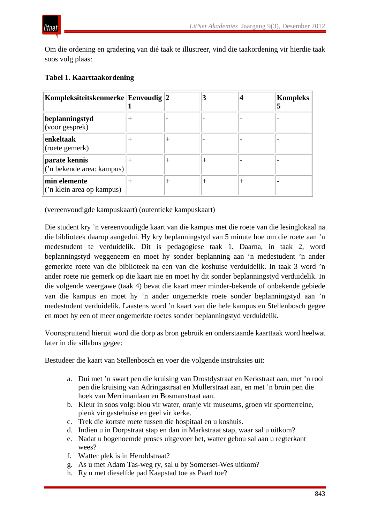

Om die ordening en gradering van dié taak te illustreer, vind die taakordening vir hierdie taak soos volg plaas:

# **Tabel 1. Kaarttaakordening**

| Kompleksiteitskenmerke Eenvoudig 2         |  |  | <b>Kompleks</b> |
|--------------------------------------------|--|--|-----------------|
| beplanningstyd<br>(voor gesprek)           |  |  |                 |
| enkeltaak<br>(roete gemerk)                |  |  |                 |
| parate kennis<br>('n bekende area: kampus) |  |  |                 |
| min elemente<br>('n klein area op kampus)  |  |  |                 |

(vereenvoudigde kampuskaart) (outentieke kampuskaart)

Die student kry 'n vereenvoudigde kaart van die kampus met die roete van die lesinglokaal na die biblioteek daarop aangedui. Hy kry beplanningstyd van 5 minute hoe om die roete aan 'n medestudent te verduidelik. Dit is pedagogiese taak 1. Daarna, in taak 2, word beplanningstyd weggeneem en moet hy sonder beplanning aan 'n medestudent 'n ander gemerkte roete van die biblioteek na een van die koshuise verduidelik. In taak 3 word 'n ander roete nie gemerk op die kaart nie en moet hy dit sonder beplanningstyd verduidelik. In die volgende weergawe (taak 4) bevat die kaart meer minder-bekende of onbekende gebiede van die kampus en moet hy 'n ander ongemerkte roete sonder beplanningstyd aan 'n medestudent verduidelik. Laastens word 'n kaart van die hele kampus en Stellenbosch gegee en moet hy een of meer ongemerkte roetes sonder beplanningstyd verduidelik.

Voortspruitend hieruit word die dorp as bron gebruik en onderstaande kaarttaak word heelwat later in die sillabus gegee:

Bestudeer die kaart van Stellenbosch en voer die volgende instruksies uit:

- a. Dui met 'n swart pen die kruising van Drostdystraat en Kerkstraat aan, met 'n rooi pen die kruising van Adringastraat en Mullerstraat aan, en met 'n bruin pen die hoek van Merrimanlaan en Bosmanstraat aan.
- b. Kleur in soos volg: blou vir water, oranje vir museums, groen vir sportterreine, pienk vir gastehuise en geel vir kerke.
- c. Trek die kortste roete tussen die hospitaal en u koshuis.
- d. Indien u in Dorpstraat stap en dan in Markstraat stap, waar sal u uitkom?
- e. Nadat u bogenoemde proses uitgevoer het, watter gebou sal aan u regterkant wees?
- f. Watter plek is in Heroldstraat?
- g. As u met Adam Tas-weg ry, sal u by Somerset-Wes uitkom?
- h. Ry u met dieselfde pad Kaapstad toe as Paarl toe?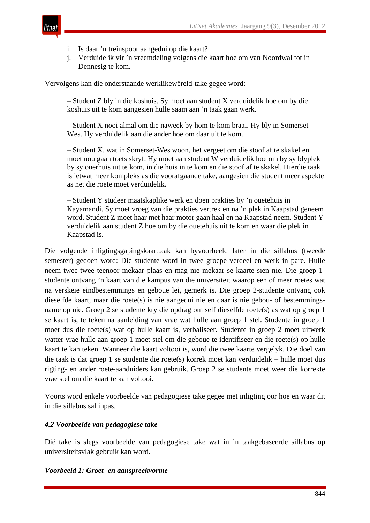

- i. Is daar 'n treinspoor aangedui op die kaart?
- j. Verduidelik vir 'n vreemdeling volgens die kaart hoe om van Noordwal tot in Dennesig te kom.

Vervolgens kan die onderstaande werklikewêreld-take gegee word:

– Student Z bly in die koshuis. Sy moet aan student X verduidelik hoe om by die koshuis uit te kom aangesien hulle saam aan 'n taak gaan werk.

– Student X nooi almal om die naweek by hom te kom braai. Hy bly in Somerset-Wes. Hy verduidelik aan die ander hoe om daar uit te kom.

– Student X, wat in Somerset-Wes woon, het vergeet om die stoof af te skakel en moet nou gaan toets skryf. Hy moet aan student W verduidelik hoe om by sy blyplek by sy ouerhuis uit te kom, in die huis in te kom en die stoof af te skakel. Hierdie taak is ietwat meer kompleks as die voorafgaande take, aangesien die student meer aspekte as net die roete moet verduidelik.

– Student Y studeer maatskaplike werk en doen prakties by 'n ouetehuis in Kayamandi. Sy moet vroeg van die prakties vertrek en na 'n plek in Kaapstad geneem word. Student Z moet haar met haar motor gaan haal en na Kaapstad neem. Student Y verduidelik aan student Z hoe om by die ouetehuis uit te kom en waar die plek in Kaapstad is.

Die volgende inligtingsgapingskaarttaak kan byvoorbeeld later in die sillabus (tweede semester) gedoen word: Die studente word in twee groepe verdeel en werk in pare. Hulle neem twee-twee teenoor mekaar plaas en mag nie mekaar se kaarte sien nie. Die groep 1 studente ontvang 'n kaart van die kampus van die universiteit waarop een of meer roetes wat na verskeie eindbestemmings en geboue lei, gemerk is. Die groep 2-studente ontvang ook dieselfde kaart, maar die roete(s) is nie aangedui nie en daar is nie gebou- of bestemmingsname op nie. Groep 2 se studente kry die opdrag om self dieselfde roete(s) as wat op groep 1 se kaart is, te teken na aanleiding van vrae wat hulle aan groep 1 stel. Studente in groep 1 moet dus die roete(s) wat op hulle kaart is, verbaliseer. Studente in groep 2 moet uitwerk watter vrae hulle aan groep 1 moet stel om die geboue te identifiseer en die roete(s) op hulle kaart te kan teken. Wanneer die kaart voltooi is, word die twee kaarte vergelyk. Die doel van die taak is dat groep 1 se studente die roete(s) korrek moet kan verduidelik – hulle moet dus rigting- en ander roete-aanduiders kan gebruik. Groep 2 se studente moet weer die korrekte vrae stel om die kaart te kan voltooi.

Voorts word enkele voorbeelde van pedagogiese take gegee met inligting oor hoe en waar dit in die sillabus sal inpas.

#### *4.2 Voorbeelde van pedagogiese take*

Dié take is slegs voorbeelde van pedagogiese take wat in 'n taakgebaseerde sillabus op universiteitsvlak gebruik kan word.

#### *Voorbeeld 1: Groet- en aanspreekvorme*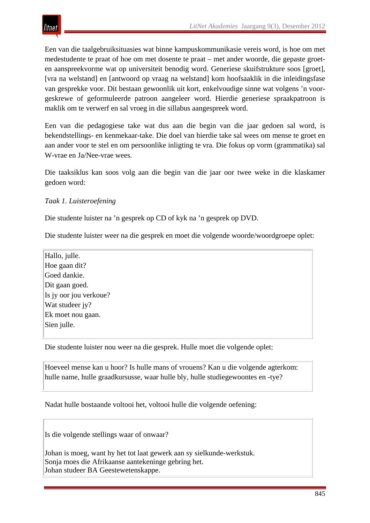Een van die taalgebruiksituasies wat binne kampuskommunikasie vereis word, is hoe om met medestudente te praat of hoe om met dosente te praat – met ander woorde, die gepaste groeten aanspreekvorme wat op universiteit benodig word. Generiese skuifstrukture soos [groet], [vra na welstand] en [antwoord op vraag na welstand] kom hoofsaaklik in die inleidingsfase van gesprekke voor. Dit bestaan gewoonlik uit kort, enkelvoudige sinne wat volgens 'n voorgeskrewe of geformuleerde patroon aangeleer word. Hierdie generiese spraakpatroon is maklik om te verwerf en sal vroeg in die sillabus aangespreek word.

Een van die pedagogiese take wat dus aan die begin van die jaar gedoen sal word, is bekendstellings- en kenmekaar-take. Die doel van hierdie take sal wees om mense te groet en aan ander voor te stel en om persoonlike inligting te vra. Die fokus op vorm (grammatika) sal W-vrae en Ja/Nee-vrae wees.

Die taaksiklus kan soos volg aan die begin van die jaar oor twee weke in die klaskamer gedoen word:

# *Taak 1. Luisteroefening*

Die studente luister na 'n gesprek op CD of kyk na 'n gesprek op DVD.

Die studente luister weer na die gesprek en moet die volgende woorde/woordgroepe oplet:

Hallo, julle. Hoe gaan dit? Goed dankie. Dit gaan goed. Is jy oor jou verkoue? Wat studeer jy? Ek moet nou gaan. Sien julle.

Die studente luister nou weer na die gesprek. Hulle moet die volgende oplet:

Hoeveel mense kan u hoor? Is hulle mans of vrouens? Kan u die volgende agterkom: hulle name, hulle graadkursusse, waar hulle bly, hulle studiegewoontes en -tye?

Nadat hulle bostaande voltooi het, voltooi hulle die volgende oefening:

Is die volgende stellings waar of onwaar?

Johan is moeg, want hy het tot laat gewerk aan sy sielkunde-werkstuk. Sonja moes die Afrikaanse aantekeninge gebring het. Johan studeer BA Geestewetenskappe.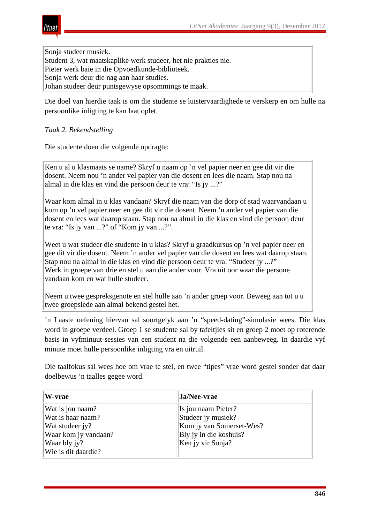Sonja studeer musiek. Student 3, wat maatskaplike werk studeer, het nie prakties nie. Pieter werk baie in die Opvoedkunde-biblioteek. Sonja werk deur die nag aan haar studies. Johan studeer deur puntsgewyse opsommings te maak.

Die doel van hierdie taak is om die studente se luistervaardighede te verskerp en om hulle na persoonlike inligting te kan laat oplet.

#### *Taak 2. Bekendstelling*

tnei

Die studente doen die volgende opdragte:

Ken u al u klasmaats se name? Skryf u naam op 'n vel papier neer en gee dit vir die dosent. Neem nou 'n ander vel papier van die dosent en lees die naam. Stap nou na almal in die klas en vind die persoon deur te vra: "Is jy ...?"

Waar kom almal in u klas vandaan? Skryf die naam van die dorp of stad waarvandaan u kom op 'n vel papier neer en gee dit vir die dosent. Neem 'n ander vel papier van die dosent en lees wat daarop staan. Stap nou na almal in die klas en vind die persoon deur te vra: "Is jy van ...?" of "Kom jy van ...?".

Weet u wat studeer die studente in u klas? Skryf u graadkursus op 'n vel papier neer en gee dit vir die dosent. Neem 'n ander vel papier van die dosent en lees wat daarop staan. Stap nou na almal in die klas en vind die persoon deur te vra: "Studeer jy ...?" Werk in groepe van drie en stel u aan die ander voor. Vra uit oor waar die persone vandaan kom en wat hulle studeer.

Neem u twee gespreksgenote en stel hulle aan 'n ander groep voor. Beweeg aan tot u u twee groepslede aan almal bekend gestel het.

'n Laaste oefening hiervan sal soortgelyk aan 'n "speed-dating"-simulasie wees. Die klas word in groepe verdeel. Groep 1 se studente sal by tafeltjies sit en groep 2 moet op roterende basis in vyfminuut-sessies van een student na die volgende een aanbeweeg. In daardie vyf minute moet hulle persoonlike inligting vra en uitruil.

Die taalfokus sal wees hoe om vrae te stel, en twee "tipes" vrae word gestel sonder dat daar doelbewus 'n taalles gegee word.

| W-vrae               | Ja/Nee-vrae              |
|----------------------|--------------------------|
| Wat is jou naam?     | Is jou naam Pieter?      |
| Wat is haar naam?    | Studeer jy musiek?       |
| Wat studeer jy?      | Kom jy van Somerset-Wes? |
| Waar kom jy vandaan? | Bly jy in die koshuis?   |
| Waar bly jy?         | Ken jy vir Sonja?        |
| Wie is dit daardie?  |                          |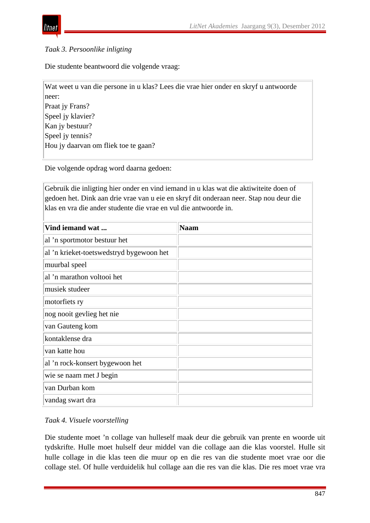

## *Taak 3. Persoonlike inligting*

Die studente beantwoord die volgende vraag:

Die volgende opdrag word daarna gedoen:

Gebruik die inligting hier onder en vind iemand in u klas wat die aktiwiteite doen of gedoen het. Dink aan drie vrae van u eie en skryf dit onderaan neer. Stap nou deur die klas en vra die ander studente die vrae en vul die antwoorde in.

| Vind iemand wat                          | <b>Naam</b> |
|------------------------------------------|-------------|
| al 'n sportmotor bestuur het             |             |
| al 'n krieket-toetswedstryd bygewoon het |             |
| muurbal speel                            |             |
| al 'n marathon voltooi het               |             |
| musiek studeer                           |             |
| motorfiets ry                            |             |
| nog nooit gevlieg het nie                |             |
| van Gauteng kom                          |             |
| kontaklense dra                          |             |
| van katte hou                            |             |
| al 'n rock-konsert bygewoon het          |             |
| wie se naam met J begin                  |             |
| van Durban kom                           |             |
| vandag swart dra                         |             |

*Taak 4. Visuele voorstelling*

Die studente moet 'n collage van hulleself maak deur die gebruik van prente en woorde uit tydskrifte. Hulle moet hulself deur middel van die collage aan die klas voorstel. Hulle sit hulle collage in die klas teen die muur op en die res van die studente moet vrae oor die collage stel. Of hulle verduidelik hul collage aan die res van die klas. Die res moet vrae vra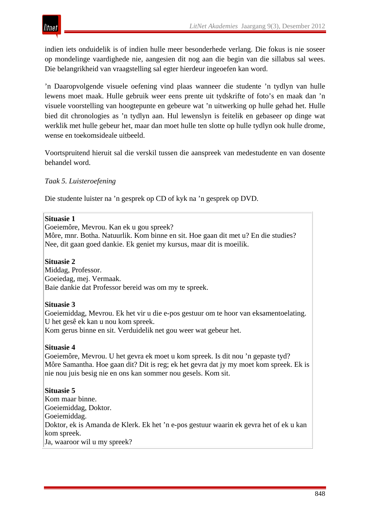indien iets onduidelik is of indien hulle meer besonderhede verlang. Die fokus is nie soseer op mondelinge vaardighede nie, aangesien dit nog aan die begin van die sillabus sal wees. Die belangrikheid van vraagstelling sal egter hierdeur ingeoefen kan word.

'n Daaropvolgende visuele oefening vind plaas wanneer die studente 'n tydlyn van hulle lewens moet maak. Hulle gebruik weer eens prente uit tydskrifte of foto's en maak dan 'n visuele voorstelling van hoogtepunte en gebeure wat 'n uitwerking op hulle gehad het. Hulle bied dit chronologies as 'n tydlyn aan. Hul lewenslyn is feitelik en gebaseer op dinge wat werklik met hulle gebeur het, maar dan moet hulle ten slotte op hulle tydlyn ook hulle drome, wense en toekomsideale uitbeeld.

Voortspruitend hieruit sal die verskil tussen die aanspreek van medestudente en van dosente behandel word.

# *Taak 5. Luisteroefening*

Die studente luister na 'n gesprek op CD of kyk na 'n gesprek op DVD.

#### **Situasie 1**

Goeiemôre, Mevrou. Kan ek u gou spreek?

Môre, mnr. Botha. Natuurlik. Kom binne en sit. Hoe gaan dit met u? En die studies? Nee, dit gaan goed dankie. Ek geniet my kursus, maar dit is moeilik.

#### **Situasie 2**

Middag, Professor. Goeiedag, mej. Vermaak. Baie dankie dat Professor bereid was om my te spreek.

#### **Situasie 3**

Goeiemiddag, Mevrou. Ek het vir u die e-pos gestuur om te hoor van eksamentoelating. U het gesê ek kan u nou kom spreek. Kom gerus binne en sit. Verduidelik net gou weer wat gebeur het.

#### **Situasie 4**

Goeiemôre, Mevrou. U het gevra ek moet u kom spreek. Is dit nou 'n gepaste tyd? Môre Samantha. Hoe gaan dit? Dit is reg; ek het gevra dat jy my moet kom spreek. Ek is nie nou juis besig nie en ons kan sommer nou gesels. Kom sit.

#### **Situasie 5**

Kom maar binne. Goeiemiddag, Doktor. Goeiemiddag. Doktor, ek is Amanda de Klerk. Ek het 'n e-pos gestuur waarin ek gevra het of ek u kan kom spreek. Ja, waaroor wil u my spreek?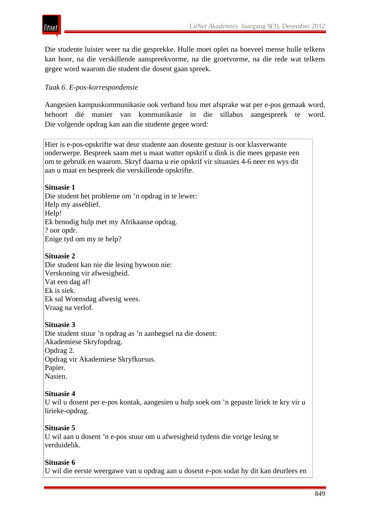

Die studente luister weer na die gesprekke. Hulle moet oplet na hoeveel mense hulle telkens kan hoor, na die verskillende aanspreekvorme, na die groetvorme, na die rede wat telkens gegee word waarom die student die dosent gaan spreek.

# *Taak 6. E-pos-korrespondensie*

Aangesien kampuskommunikasie ook verband hou met afsprake wat per e-pos gemaak word, behoort dié manier van kommunikasie in die sillabus aangespreek te word. Die volgende opdrag kan aan die studente gegee word:

Hier is e-pos-opskrifte wat deur studente aan dosente gestuur is oor klasverwante onderwerpe. Bespreek saam met u maat watter opskrif u dink is die mees gepaste een om te gebruik en waarom. Skryf daarna u eie opskrif vir situasies 4-6 neer en wys dit aan u maat en bespreek die verskillende opskrifte.

#### **Situasie 1**

Die student het probleme om 'n opdrag in te lewer: Help my asseblief. Help! Ek benodig hulp met my Afrikaanse opdrag. ? oor opdr. Enige tyd om my te help?

# **Situasie 2**

Die student kan nie die lesing bywoon nie: Verskoning vir afwesigheid. Vat een dag af! Ek is siek. Ek sal Woensdag afwesig wees. Vraag na verlof.

#### **Situasie 3**

Die student stuur 'n opdrag as 'n aanhegsel na die dosent: Akademiese Skryfopdrag. Opdrag 2. Opdrag vir Akademiese Skryfkursus. Papier. Nasien.

#### **Situasie 4**

U wil u dosent per e-pos kontak, aangesien u hulp soek om 'n gepaste liriek te kry vir u lirieke-opdrag.

#### **Situasie 5**

U wil aan u dosent 'n e-pos stuur om u afwesigheid tydens die vorige lesing te verduidelik.

#### **Situasie 6**

U wil die eerste weergawe van u opdrag aan u dosent e-pos sodat hy dit kan deurlees en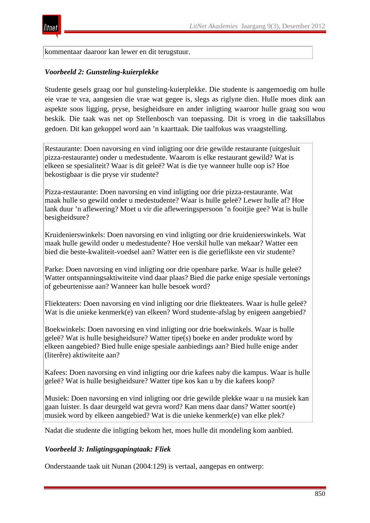

kommentaar daaroor kan lewer en dit terugstuur.

#### *Voorbeeld 2: Gunsteling-kuierplekke*

Studente gesels graag oor hul gunsteling-kuierplekke. Die studente is aangemoedig om hulle eie vrae te vra, aangesien die vrae wat gegee is, slegs as riglyne dien. Hulle moes dink aan aspekte soos ligging, pryse, besigheidsure en ander inligting waaroor hulle graag sou wou beskik. Die taak was net op Stellenbosch van toepassing. Dit is vroeg in die taaksillabus gedoen. Dit kan gekoppel word aan 'n kaarttaak. Die taalfokus was vraagstelling.

Restaurante: Doen navorsing en vind inligting oor drie gewilde restaurante (uitgesluit pizza-restaurante) onder u medestudente. Waarom is elke restaurant gewild? Wat is elkeen se spesialiteit? Waar is dit geleë? Wat is die tye wanneer hulle oop is? Hoe bekostigbaar is die pryse vir studente?

Pizza-restaurante: Doen navorsing en vind inligting oor drie pizza-restaurante. Wat maak hulle so gewild onder u medestudente? Waar is hulle geleë? Lewer hulle af? Hoe lank duur 'n aflewering? Moet u vir die afleweringspersoon 'n fooitjie gee? Wat is hulle besigheidsure?

Kruidenierswinkels: Doen navorsing en vind inligting oor drie kruidenierswinkels. Wat maak hulle gewild onder u medestudente? Hoe verskil hulle van mekaar? Watter een bied die beste-kwaliteit-voedsel aan? Watter een is die gerieflikste een vir studente?

Parke: Doen navorsing en vind inligting oor drie openbare parke. Waar is hulle geleë? Watter ontspanningsaktiwiteite vind daar plaas? Bied die parke enige spesiale vertonings of gebeurtenisse aan? Wanneer kan hulle besoek word?

Fliekteaters: Doen navorsing en vind inligting oor drie fliekteaters. Waar is hulle geleë? Wat is die unieke kenmerk(e) van elkeen? Word studente-afslag by enigeen aangebied?

Boekwinkels: Doen navorsing en vind inligting oor drie boekwinkels. Waar is hulle geleë? Wat is hulle besigheidsure? Watter tipe(s) boeke en ander produkte word by elkeen aangebied? Bied hulle enige spesiale aanbiedings aan? Bied hulle enige ander (literêre) aktiwiteite aan?

Kafees: Doen navorsing en vind inligting oor drie kafees naby die kampus. Waar is hulle geleë? Wat is hulle besigheidsure? Watter tipe kos kan u by die kafees koop?

Musiek: Doen navorsing en vind inligting oor drie gewilde plekke waar u na musiek kan gaan luister. Is daar deurgeld wat gevra word? Kan mens daar dans? Watter soort(e) musiek word by elkeen aangebied? Wat is die unieke kenmerk(e) van elke plek?

Nadat die studente die inligting bekom het, moes hulle dit mondeling kom aanbied.

#### *Voorbeeld 3: Inligtingsgapingtaak: Fliek*

Onderstaande taak uit Nunan (2004:129) is vertaal, aangepas en ontwerp: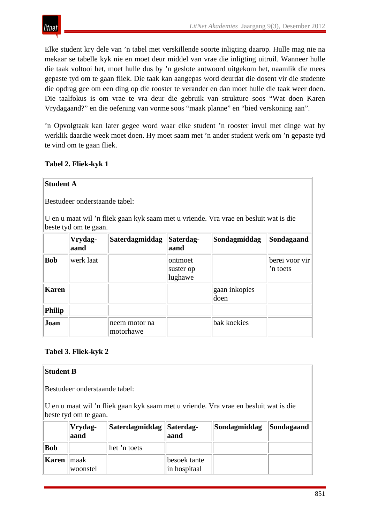

Elke student kry dele van 'n tabel met verskillende soorte inligting daarop. Hulle mag nie na mekaar se tabelle kyk nie en moet deur middel van vrae die inligting uitruil. Wanneer hulle die taak voltooi het, moet hulle dus by 'n geslote antwoord uitgekom het, naamlik die mees gepaste tyd om te gaan fliek. Die taak kan aangepas word deurdat die dosent vir die studente die opdrag gee om een ding op die rooster te verander en dan moet hulle die taak weer doen. Die taalfokus is om vrae te vra deur die gebruik van strukture soos "Wat doen Karen Vrydagaand?" en die oefening van vorme soos "maak planne" en "bied verskoning aan".

'n Opvolgtaak kan later gegee word waar elke student 'n rooster invul met dinge wat hy werklik daardie week moet doen. Hy moet saam met 'n ander student werk om 'n gepaste tyd te vind om te gaan fliek.

**Tabel 2. Fliek-kyk 1**

|               | <b>Student A</b>              |                                                                                      |                                 |                       |                            |
|---------------|-------------------------------|--------------------------------------------------------------------------------------|---------------------------------|-----------------------|----------------------------|
|               | Bestudeer onderstaande tabel: |                                                                                      |                                 |                       |                            |
|               | beste tyd om te gaan.         | U en u maat wil 'n fliek gaan kyk saam met u vriende. Vra vrae en besluit wat is die |                                 |                       |                            |
|               | Vrydag-<br>aand               | Saterdagmiddag                                                                       | Saterdag-<br>aand               | Sondagmiddag          | Sondagaand                 |
| <b>Bob</b>    | werk laat                     |                                                                                      | ontmoet<br>suster op<br>lughawe |                       | berei voor vir<br>'n toets |
| <b>Karen</b>  |                               |                                                                                      |                                 | gaan inkopies<br>doen |                            |
| <b>Philip</b> |                               |                                                                                      |                                 |                       |                            |
| Joan          |                               | neem motor na<br>motorhawe                                                           |                                 | bak koekies           |                            |

# **Tabel 3. Fliek-kyk 2**

#### **Student B**

Bestudeer onderstaande tabel:

U en u maat wil 'n fliek gaan kyk saam met u vriende. Vra vrae en besluit wat is die beste tyd om te gaan.

|              | Vrydag-<br>aand   | Saterdagmiddag   Saterdag- | aand                         | Sondagmiddag | Sondagaand |
|--------------|-------------------|----------------------------|------------------------------|--------------|------------|
| <b>Bob</b>   |                   | het 'n toets               |                              |              |            |
| <b>Karen</b> | ∣maak<br>woonstel |                            | besoek tante<br>in hospitaal |              |            |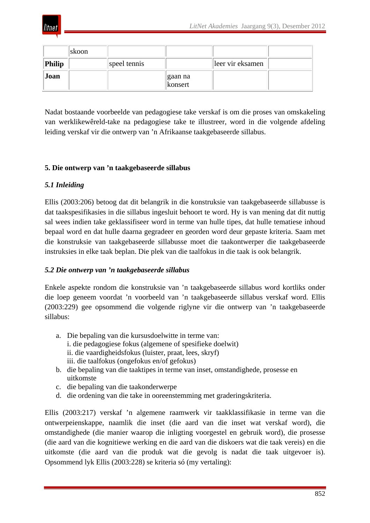

|        | skoon |              |                     |                  |  |
|--------|-------|--------------|---------------------|------------------|--|
| Philip |       | speel tennis |                     | leer vir eksamen |  |
| Joan   |       |              | ∣gaan na<br>konsert |                  |  |

Nadat bostaande voorbeelde van pedagogiese take verskaf is om die proses van omskakeling van werklikewêreld-take na pedagogiese take te illustreer, word in die volgende afdeling leiding verskaf vir die ontwerp van 'n Afrikaanse taakgebaseerde sillabus.

# **5. Die ontwerp van 'n taakgebaseerde sillabus**

# *5.1 Inleiding*

Ellis (2003:206) betoog dat dit belangrik in die konstruksie van taakgebaseerde sillabusse is dat taakspesifikasies in die sillabus ingesluit behoort te word. Hy is van mening dat dit nuttig sal wees indien take geklassifiseer word in terme van hulle tipes, dat hulle tematiese inhoud bepaal word en dat hulle daarna gegradeer en georden word deur gepaste kriteria. Saam met die konstruksie van taakgebaseerde sillabusse moet die taakontwerper die taakgebaseerde instruksies in elke taak beplan. Die plek van die taalfokus in die taak is ook belangrik.

#### *5.2 Die ontwerp van 'n taakgebaseerde sillabus*

Enkele aspekte rondom die konstruksie van 'n taakgebaseerde sillabus word kortliks onder die loep geneem voordat 'n voorbeeld van 'n taakgebaseerde sillabus verskaf word. Ellis (2003:229) gee opsommend die volgende riglyne vir die ontwerp van 'n taakgebaseerde sillabus:

- a. Die bepaling van die kursusdoelwitte in terme van: i. die pedagogiese fokus (algemene of spesifieke doelwit) ii. die vaardigheidsfokus (luister, praat, lees, skryf) iii. die taalfokus (ongefokus en/of gefokus)
- b. die bepaling van die taaktipes in terme van inset, omstandighede, prosesse en uitkomste
- c. die bepaling van die taakonderwerpe
- d. die ordening van die take in ooreenstemming met graderingskriteria.

Ellis (2003:217) verskaf 'n algemene raamwerk vir taakklassifikasie in terme van die ontwerpeienskappe, naamlik die inset (die aard van die inset wat verskaf word), die omstandighede (die manier waarop die inligting voorgestel en gebruik word), die prosesse (die aard van die kognitiewe werking en die aard van die diskoers wat die taak vereis) en die uitkomste (die aard van die produk wat die gevolg is nadat die taak uitgevoer is). Opsommend lyk Ellis (2003:228) se kriteria só (my vertaling):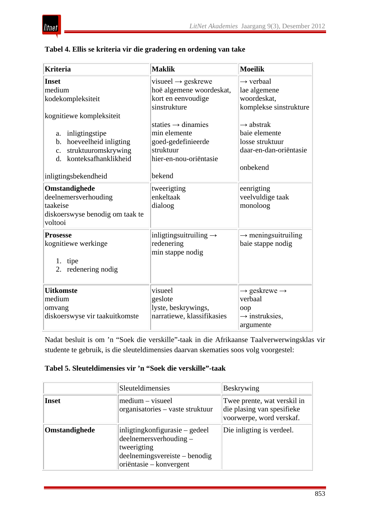

# **Tabel 4. Ellis se kriteria vir die gradering en ordening van take**

| <b>Kriteria</b>                                                                                                                                                                                    | <b>Maklik</b>                                                                                                                                                                                                   | <b>Moeilik</b>                                                                                                                                                                    |
|----------------------------------------------------------------------------------------------------------------------------------------------------------------------------------------------------|-----------------------------------------------------------------------------------------------------------------------------------------------------------------------------------------------------------------|-----------------------------------------------------------------------------------------------------------------------------------------------------------------------------------|
| <b>Inset</b><br>medium<br>kodekompleksiteit<br>kognitiewe kompleksiteit<br>inligtingstipe<br>a.<br>hoeveelheid inligting<br>b.<br>struktuuromskrywing<br>$\mathbf{c}$ .<br>d. konteksafhanklikheid | visueel $\rightarrow$ geskrewe<br>hoë algemene woordeskat,<br>kort en eenvoudige<br>sinstrukture<br>staties $\rightarrow$ dinamies<br>min elemente<br>goed-gedefinieerde<br>struktuur<br>hier-en-nou-oriëntasie | $\rightarrow$ verbaal<br>lae algemene<br>woordeskat.<br>komplekse sinstrukture<br>$\rightarrow$ abstrak<br>baie elemente<br>losse struktuur<br>daar-en-dan-oriëntasie<br>onbekend |
| inligtingsbekendheid<br>Omstandighede<br>deelnemersverhouding<br>taakeise<br>diskoerswyse benodig om taak te<br>voltooi                                                                            | bekend<br>tweerigting<br>enkeltaak<br>dialoog                                                                                                                                                                   | eenrigting<br>veelvuldige taak<br>monoloog                                                                                                                                        |
| <b>Prosesse</b><br>kognitiewe werkinge<br>1. tipe<br>2. redenering nodig                                                                                                                           | inligtingsuitruiling $\rightarrow$<br>redenering<br>min stappe nodig                                                                                                                                            | $\rightarrow$ meningsuitruiling<br>baie stappe nodig                                                                                                                              |
| <b>Uitkomste</b><br>medium<br>omvang<br>diskoerswyse vir taakuitkomste                                                                                                                             | visueel<br>geslote<br>lyste, beskrywings,<br>narratiewe, klassifikasies                                                                                                                                         | $\rightarrow$ geskrewe $\rightarrow$<br>verbaal<br>oop<br>$\rightarrow$ instruksies,<br>argumente                                                                                 |

Nadat besluit is om 'n "Soek die verskille"-taak in die Afrikaanse Taalverwerwingsklas vir studente te gebruik, is die sleuteldimensies daarvan skematies soos volg voorgestel:

#### **Tabel 5. Sleuteldimensies vir 'n "Soek die verskille"-taak**

|               | Sleuteldimensies                                                                                                                     | Beskrywing                                                                            |
|---------------|--------------------------------------------------------------------------------------------------------------------------------------|---------------------------------------------------------------------------------------|
| <b>Inset</b>  | $medium - visueel$<br>organisatories – vaste struktuur                                                                               | Twee prente, wat verskil in<br>die plasing van spesifieke<br>voorwerpe, word verskaf. |
| Omstandighede | inligting konfigurasie – gedeel<br>deelnemersverhouding –<br>tweerigting<br>deelnemingsvereiste – benodig<br>oriëntasie – konvergent | Die inligting is verdeel.                                                             |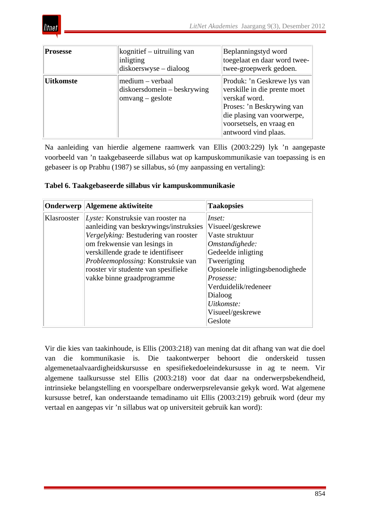

| <b>Prosesse</b>  | kognitief – uitruiling van<br>inligting<br>$diskoerswyse - dialog$    | Beplanningstyd word<br>toegelaat en daar word twee-<br>twee-groepwerk gedoen.                                                                                                               |
|------------------|-----------------------------------------------------------------------|---------------------------------------------------------------------------------------------------------------------------------------------------------------------------------------------|
| <b>Uitkomste</b> | medium – verbaal<br>$diskoersdomein - beskrywing$<br>omvang – geslote | Produk: 'n Geskrewe lys van<br>verskille in die prente moet<br>verskaf word.<br>Proses: 'n Beskrywing van<br>die plasing van voorwerpe,<br>voorsetsels, en vraag en<br>antwoord vind plaas. |

Na aanleiding van hierdie algemene raamwerk van Ellis (2003:229) lyk 'n aangepaste voorbeeld van 'n taakgebaseerde sillabus wat op kampuskommunikasie van toepassing is en gebaseer is op Prabhu (1987) se sillabus, só (my aanpassing en vertaling):

| Tabel 6. Taakgebaseerde sillabus vir kampuskommunikasie |  |  |
|---------------------------------------------------------|--|--|
|                                                         |  |  |

|             | Onderwerp    Algemene aktiwiteite                                                                                                                                             | <b>Taakopsies</b>                                                                                                                                    |
|-------------|-------------------------------------------------------------------------------------------------------------------------------------------------------------------------------|------------------------------------------------------------------------------------------------------------------------------------------------------|
| Klasrooster | Lyste: Konstruksie van rooster na<br>aanleiding van beskrywings/instruksies<br>Vergelyking: Bestudering van rooster                                                           | Inset:<br>Visueel/geskrewe<br>Vaste struktuur                                                                                                        |
|             | om frekwensie van lesings in<br>verskillende grade te identifiseer<br>Probleemoplossing: Konstruksie van<br>rooster vir studente van spesifieke<br>vakke binne graadprogramme | Omstandighede:<br>Gedeelde inligting<br>Tweerigting<br>Opsionele inligtingsbenodighede<br>Prosesse:<br>Verduidelik/redeneer<br>Dialoog<br>Uitkomste: |
|             |                                                                                                                                                                               | Visueel/geskrewe<br>Geslote                                                                                                                          |

Vir die kies van taakinhoude, is Ellis (2003:218) van mening dat dit afhang van wat die doel van die kommunikasie is. Die taakontwerper behoort die onderskeid tussen algemenetaalvaardigheidskursusse en spesifiekedoeleindekursusse in ag te neem. Vir algemene taalkursusse stel Ellis (2003:218) voor dat daar na onderwerpsbekendheid, intrinsieke belangstelling en voorspelbare onderwerpsrelevansie gekyk word. Wat algemene kursusse betref, kan onderstaande temadinamo uit Ellis (2003:219) gebruik word (deur my vertaal en aangepas vir 'n sillabus wat op universiteit gebruik kan word):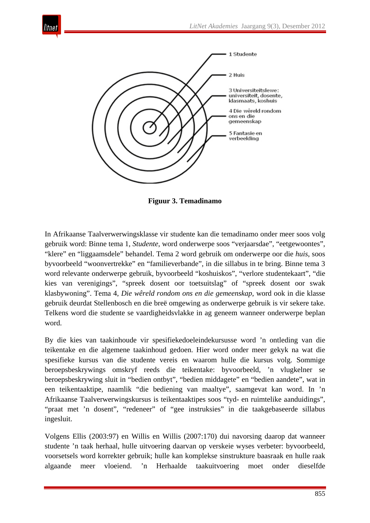

**Figuur 3. Temadinamo**

In Afrikaanse Taalverwerwingsklasse vir studente kan die temadinamo onder meer soos volg gebruik word: Binne tema 1, *Studente*, word onderwerpe soos "verjaarsdae", "eetgewoontes", "klere" en "liggaamsdele" behandel. Tema 2 word gebruik om onderwerpe oor die *huis*, soos byvoorbeeld "woonvertrekke" en "familieverbande", in die sillabus in te bring. Binne tema 3 word relevante onderwerpe gebruik, byvoorbeeld "koshuiskos", "verlore studentekaart", "die kies van verenigings", "spreek dosent oor toetsuitslag" of "spreek dosent oor swak klasbywoning". Tema 4, *Die wêreld rondom ons en die gemeenskap*, word ook in die klasse gebruik deurdat Stellenbosch en die breë omgewing as onderwerpe gebruik is vir sekere take. Telkens word die studente se vaardigheidsvlakke in ag geneem wanneer onderwerpe beplan word.

By die kies van taakinhoude vir spesifiekedoeleindekursusse word 'n ontleding van die teikentake en die algemene taakinhoud gedoen. Hier word onder meer gekyk na wat die spesifieke kursus van die studente vereis en waarom hulle die kursus volg. Sommige beroepsbeskrywings omskryf reeds die teikentake: byvoorbeeld, 'n vlugkelner se beroepsbeskrywing sluit in "bedien ontbyt", "bedien middagete" en "bedien aandete", wat in een teikentaaktipe, naamlik "die bediening van maaltye", saamgevat kan word. In 'n Afrikaanse Taalverwerwingskursus is teikentaaktipes soos "tyd- en ruimtelike aanduidings", "praat met 'n dosent", "redeneer" of "gee instruksies" in die taakgebaseerde sillabus ingesluit.

Volgens Ellis (2003:97) en Willis en Willis (2007:170) dui navorsing daarop dat wanneer studente 'n taak herhaal, hulle uitvoering daarvan op verskeie wyses verbeter: byvoorbeeld, voorsetsels word korrekter gebruik; hulle kan komplekse sinstrukture baasraak en hulle raak algaande meer vloeiend. 'n Herhaalde taakuitvoering moet onder dieselfde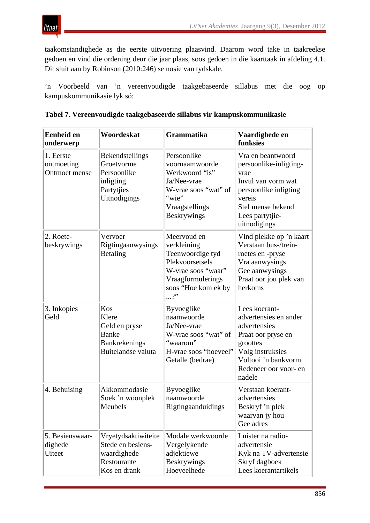

taakomstandighede as die eerste uitvoering plaasvind. Daarom word take in taakreekse gedoen en vind die ordening deur die jaar plaas, soos gedoen in die kaarttaak in afdeling 4.1. Dit sluit aan by Robinson (2010:246) se nosie van tydskale.

'n Voorbeeld van 'n vereenvoudigde taakgebaseerde sillabus met die oog op kampuskommunikasie lyk só:

| <b>Eenheid en</b><br>onderwerp               | Woordeskat                                                                                  | <b>Grammatika</b>                                                                                                                                             | Vaardighede en<br>funksies                                                                                                                                             |
|----------------------------------------------|---------------------------------------------------------------------------------------------|---------------------------------------------------------------------------------------------------------------------------------------------------------------|------------------------------------------------------------------------------------------------------------------------------------------------------------------------|
| 1. Eerste<br>ontmoeting<br>Ontmoet mense     | Bekendstellings<br>Groetvorme<br>Persoonlike<br>inligting<br>Partytjies<br>Uitnodigings     | Persoonlike<br>voornaamwoorde<br>Werkwoord "is"<br>Ja/Nee-vrae<br>W-vrae soos "wat" of<br>"wie"<br>Vraagstellings<br><b>Beskrywings</b>                       | Vra en beantwoord<br>persoonlike-inligting-<br>vrae<br>Invul van vorm wat<br>persoonlike inligting<br>vereis<br>Stel mense bekend<br>Lees partytjie-<br>uitnodigings   |
| 2. Roete-<br>beskrywings                     | Vervoer<br>Rigtingaanwysings<br><b>Betaling</b>                                             | Meervoud en<br>verkleining<br>Teenwoordige tyd<br>Plekvoorsetsels<br>W-vrae soos "waar"<br>Vraagformulerings<br>soos "Hoe kom ek by<br>$\cdot \cdot \cdot$ ?" | Vind plekke op 'n kaart<br>Verstaan bus-/trein-<br>roetes en -pryse<br>Vra aanwysings<br>Gee aanwysings<br>Praat oor jou plek van<br>herkoms                           |
| 3. Inkopies<br>Geld                          | Kos<br>Klere<br>Geld en pryse<br><b>Banke</b><br><b>Bankrekenings</b><br>Buitelandse valuta | <b>Byvoeglike</b><br>naamwoorde<br>Ja/Nee-vrae<br>W-vrae soos "wat" of<br>"waarom"<br>H-vrae soos "hoeveel"<br>Getalle (bedrae)                               | Lees koerant-<br>advertensies en ander<br>advertensies<br>Praat oor pryse en<br>groottes<br>Volg instruksies<br>Voltooi 'n bankvorm<br>Redeneer oor voor- en<br>nadele |
| 4. Behuising                                 | Akkommodasie<br>Soek 'n woonplek<br>Meubels                                                 | <b>Byvoeglike</b><br>naamwoorde<br>Rigtingaanduidings                                                                                                         | Verstaan koerant-<br>advertensies<br>Beskryf 'n plek<br>waarvan jy hou<br>Gee adres                                                                                    |
| 5. Besienswaar-<br>dighede<br><b>U</b> iteet | Vryetydsaktiwiteite<br>Stede en besiens-<br>waardighede<br>Restourante<br>Kos en drank      | Modale werkwoorde<br>Vergelykende<br>adjektiewe<br><b>Beskrywings</b><br>Hoeveelhede                                                                          | Luister na radio-<br>advertensie<br>Kyk na TV-advertensie<br>Skryf dagboek<br>Lees koerantartikels                                                                     |

|  |  | Tabel 7. Vereenvoudigde taakgebaseerde sillabus vir kampuskommunikasie |
|--|--|------------------------------------------------------------------------|
|  |  |                                                                        |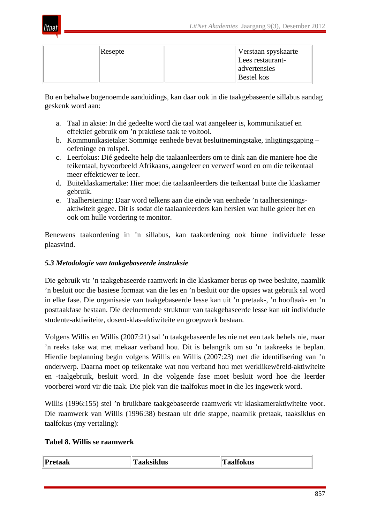

| Resepte | Verstaan spyskaarte  |
|---------|----------------------|
|         | Lees restaurant-     |
|         | <b>a</b> dvertensies |
|         | <b>Bestel</b> kos    |

Bo en behalwe bogenoemde aanduidings, kan daar ook in die taakgebaseerde sillabus aandag geskenk word aan:

- a. Taal in aksie: In dié gedeelte word die taal wat aangeleer is, kommunikatief en effektief gebruik om 'n praktiese taak te voltooi.
- b. Kommunikasietake: Sommige eenhede bevat besluitnemingstake, inligtingsgaping oefeninge en rolspel.
- c. Leerfokus: Dié gedeelte help die taalaanleerders om te dink aan die maniere hoe die teikentaal, byvoorbeeld Afrikaans, aangeleer en verwerf word en om die teikentaal meer effektiewer te leer.
- d. Buiteklaskamertake: Hier moet die taalaanleerders die teikentaal buite die klaskamer gebruik.
- e. Taalhersiening: Daar word telkens aan die einde van eenhede 'n taalhersieningsaktiwiteit gegee. Dit is sodat die taalaanleerders kan hersien wat hulle geleer het en ook om hulle vordering te monitor.

Benewens taakordening in 'n sillabus, kan taakordening ook binne individuele lesse plaasvind.

# *5.3 Metodologie van taakgebaseerde instruksie*

Die gebruik vir 'n taakgebaseerde raamwerk in die klaskamer berus op twee besluite, naamlik 'n besluit oor die basiese formaat van die les en 'n besluit oor die opsies wat gebruik sal word in elke fase. Die organisasie van taakgebaseerde lesse kan uit 'n pretaak-, 'n hooftaak- en 'n posttaakfase bestaan. Die deelnemende struktuur van taakgebaseerde lesse kan uit individuele studente-aktiwiteite, dosent-klas-aktiwiteite en groepwerk bestaan.

Volgens Willis en Willis (2007:21) sal 'n taakgebaseerde les nie net een taak behels nie, maar 'n reeks take wat met mekaar verband hou. Dit is belangrik om so 'n taakreeks te beplan. Hierdie beplanning begin volgens Willis en Willis (2007:23) met die identifisering van 'n onderwerp. Daarna moet op teikentake wat nou verband hou met werklikewêreld-aktiwiteite en -taalgebruik, besluit word. In die volgende fase moet besluit word hoe die leerder voorberei word vir die taak. Die plek van die taalfokus moet in die les ingewerk word.

Willis (1996:155) stel 'n bruikbare taakgebaseerde raamwerk vir klaskameraktiwiteite voor. Die raamwerk van Willis (1996:38) bestaan uit drie stappe, naamlik pretaak, taaksiklus en taalfokus (my vertaling):

#### **Tabel 8. Willis se raamwerk**

| Pre      | 1 Q              |
|----------|------------------|
| claan    | m                |
| аавэнмээ | <b>Taalfokus</b> |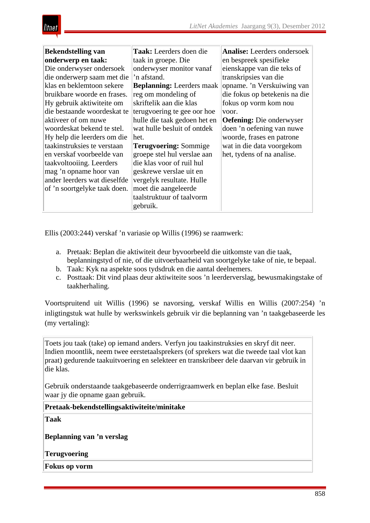

| <b>Bekendstelling van</b>    | Taak: Leerders doen die          | <b>Analise:</b> Leerders ondersoek |  |
|------------------------------|----------------------------------|------------------------------------|--|
| onderwerp en taak:           | taak in groepe. Die              | en bespreek spesifieke             |  |
| Die onderwyser ondersoek     | onderwyser monitor vanaf         | eienskappe van die teks of         |  |
| die onderwerp saam met die   | 'n afstand.                      | transkripsies van die              |  |
| klas en beklemtoon sekere    | <b>Beplanning:</b> Leerders maak | opname. 'n Verskuiwing van         |  |
| bruikbare woorde en frases.  | reg om mondeling of              | die fokus op betekenis na die      |  |
| Hy gebruik aktiwiteite om    | skriftelik aan die klas          | fokus op vorm kom nou              |  |
| die bestaande woordeskat te  | terugvoering te gee oor hoe      | voor.                              |  |
| aktiveer of om nuwe          | hulle die taak gedoen het en     | <b>Oefening:</b> Die onderwyser    |  |
| woordeskat bekend te stel.   | wat hulle besluit of ontdek      | doen 'n oefening van nuwe          |  |
| Hy help die leerders om die  | het.                             | woorde, frases en patrone          |  |
| taakinstruksies te verstaan  | <b>Terugvoering: Sommige</b>     | wat in die data voorgekom          |  |
| en verskaf voorbeelde van    | groepe stel hul verslae aan      | het, tydens of na analise.         |  |
| taakvoltooiing. Leerders     | die klas voor of ruil hul        |                                    |  |
| mag 'n opname hoor van       | geskrewe verslae uit en          |                                    |  |
| ander leerders wat dieselfde | vergelyk resultate. Hulle        |                                    |  |
| of 'n soortgelyke taak doen. | moet die aangeleerde             |                                    |  |
|                              | taalstruktuur of taalvorm        |                                    |  |
|                              | gebruik.                         |                                    |  |

Ellis (2003:244) verskaf 'n variasie op Willis (1996) se raamwerk:

- a. Pretaak: Beplan die aktiwiteit deur byvoorbeeld die uitkomste van die taak, beplanningstyd of nie, of die uitvoerbaarheid van soortgelyke take of nie, te bepaal.
- b. Taak: Kyk na aspekte soos tydsdruk en die aantal deelnemers.
- c. Posttaak: Dit vind plaas deur aktiwiteite soos 'n leerderverslag, bewusmakingstake of taakherhaling.

Voortspruitend uit Willis (1996) se navorsing, verskaf Willis en Willis (2007:254) 'n inligtingstuk wat hulle by werkswinkels gebruik vir die beplanning van 'n taakgebaseerde les (my vertaling):

Toets jou taak (take) op iemand anders. Verfyn jou taakinstruksies en skryf dit neer. Indien moontlik, neem twee eerstetaalsprekers (of sprekers wat die tweede taal vlot kan praat) gedurende taakuitvoering en selekteer en transkribeer dele daarvan vir gebruik in die klas.

Gebruik onderstaande taakgebaseerde onderrigraamwerk en beplan elke fase. Besluit waar jy die opname gaan gebruik.

**Pretaak-bekendstellingsaktiwiteite/minitake**

**Taak**

**Beplanning van 'n verslag**

**Terugvoering**

**Fokus op vorm**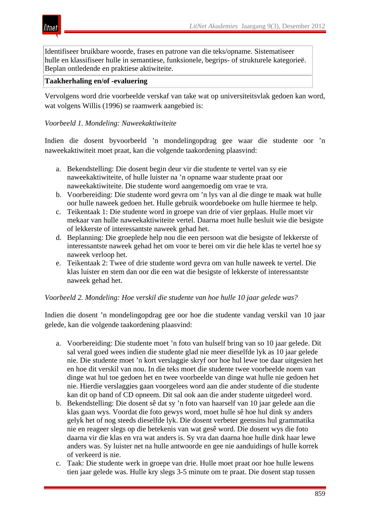Identifiseer bruikbare woorde, frases en patrone van die teks/opname. Sistematiseer hulle en klassifiseer hulle in semantiese, funksionele, begrips- of strukturele kategorieë. Beplan ontledende en praktiese aktiwiteite.

## **Taakherhaling en/of -evaluering**

itnet

Vervolgens word drie voorbeelde verskaf van take wat op universiteitsvlak gedoen kan word, wat volgens Willis (1996) se raamwerk aangebied is:

# *Voorbeeld 1. Mondeling: Naweekaktiwiteite*

Indien die dosent byvoorbeeld 'n mondelingopdrag gee waar die studente oor 'n naweekaktiwiteit moet praat, kan die volgende taakordening plaasvind:

- a. Bekendstelling: Die dosent begin deur vir die studente te vertel van sy eie naweekaktiwiteite, of hulle luister na 'n opname waar studente praat oor naweekaktiwiteite. Die studente word aangemoedig om vrae te vra.
- b. Voorbereiding: Die studente word gevra om 'n lys van al die dinge te maak wat hulle oor hulle naweek gedoen het. Hulle gebruik woordeboeke om hulle hiermee te help.
- c. Teikentaak 1: Die studente word in groepe van drie of vier geplaas. Hulle moet vir mekaar van hulle naweekaktiwiteite vertel. Daarna moet hulle besluit wie die besigste of lekkerste of interessantste naweek gehad het.
- d. Beplanning: Die groeplede help nou die een persoon wat die besigste of lekkerste of interessantste naweek gehad het om voor te berei om vir die hele klas te vertel hoe sy naweek verloop het.
- e. Teikentaak 2: Twee of drie studente word gevra om van hulle naweek te vertel. Die klas luister en stem dan oor die een wat die besigste of lekkerste of interessantste naweek gehad het.

#### *Voorbeeld 2. Mondeling: Hoe verskil die studente van hoe hulle 10 jaar gelede was?*

Indien die dosent 'n mondelingopdrag gee oor hoe die studente vandag verskil van 10 jaar gelede, kan die volgende taakordening plaasvind:

- a. Voorbereiding: Die studente moet 'n foto van hulself bring van so 10 jaar gelede. Dit sal veral goed wees indien die studente glad nie meer dieselfde lyk as 10 jaar gelede nie. Die studente moet 'n kort verslaggie skryf oor hoe hul lewe toe daar uitgesien het en hoe dit verskil van nou. In die teks moet die studente twee voorbeelde noem van dinge wat hul toe gedoen het en twee voorbeelde van dinge wat hulle nie gedoen het nie. Hierdie verslaggies gaan voorgelees word aan die ander studente of die studente kan dit op band of CD opneem. Dit sal ook aan die ander studente uitgedeel word.
- b. Bekendstelling: Die dosent sê dat sy 'n foto van haarself van 10 jaar gelede aan die klas gaan wys. Voordat die foto gewys word, moet hulle sê hoe hul dink sy anders gelyk het of nog steeds dieselfde lyk. Die dosent verbeter geensins hul grammatika nie en reageer slegs op die betekenis van wat gesê word. Die dosent wys die foto daarna vir die klas en vra wat anders is. Sy vra dan daarna hoe hulle dink haar lewe anders was. Sy luister net na hulle antwoorde en gee nie aanduidings of hulle korrek of verkeerd is nie.
- c. Taak: Die studente werk in groepe van drie. Hulle moet praat oor hoe hulle lewens tien jaar gelede was. Hulle kry slegs 3-5 minute om te praat. Die dosent stap tussen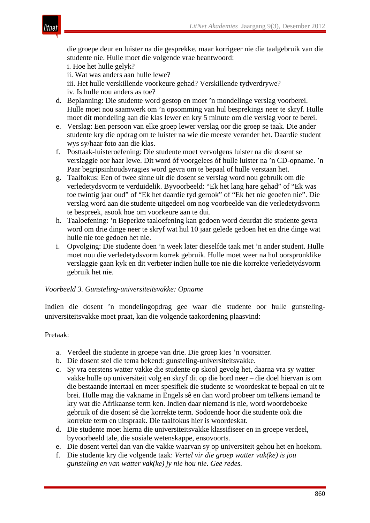die groepe deur en luister na die gesprekke, maar korrigeer nie die taalgebruik van die studente nie. Hulle moet die volgende vrae beantwoord:

i. Hoe het hulle gelyk?

ii. Wat was anders aan hulle lewe?

iii. Het hulle verskillende voorkeure gehad? Verskillende tydverdrywe? iv. Is hulle nou anders as toe?

- d. Beplanning: Die studente word gestop en moet 'n mondelinge verslag voorberei. Hulle moet nou saamwerk om 'n opsomming van hul besprekings neer te skryf. Hulle moet dit mondeling aan die klas lewer en kry 5 minute om die verslag voor te berei.
- e. Verslag: Een persoon van elke groep lewer verslag oor die groep se taak. Die ander studente kry die opdrag om te luister na wie die meeste verander het. Daardie student wys sy/haar foto aan die klas.
- f. Posttaak-luisteroefening: Die studente moet vervolgens luister na die dosent se verslaggie oor haar lewe. Dit word óf voorgelees óf hulle luister na 'n CD-opname. 'n Paar begripsinhoudsvragies word gevra om te bepaal of hulle verstaan het.
- g. Taalfokus: Een of twee sinne uit die dosent se verslag word nou gebruik om die verledetydsvorm te verduidelik. Byvoorbeeld: "Ek het lang hare gehad" of "Ek was toe twintig jaar oud" of "Ek het daardie tyd gerook" of "Ek het nie geoefen nie". Die verslag word aan die studente uitgedeel om nog voorbeelde van die verledetydsvorm te bespreek, asook hoe om voorkeure aan te dui.
- h. Taaloefening: 'n Beperkte taaloefening kan gedoen word deurdat die studente gevra word om drie dinge neer te skryf wat hul 10 jaar gelede gedoen het en drie dinge wat hulle nie toe gedoen het nie.
- i. Opvolging: Die studente doen 'n week later dieselfde taak met 'n ander student. Hulle moet nou die verledetydsvorm korrek gebruik. Hulle moet weer na hul oorspronklike verslaggie gaan kyk en dit verbeter indien hulle toe nie die korrekte verledetydsvorm gebruik het nie.

# *Voorbeeld 3. Gunsteling-universiteitsvakke: Opname*

Indien die dosent 'n mondelingopdrag gee waar die studente oor hulle gunstelinguniversiteitsvakke moet praat, kan die volgende taakordening plaasvind:

#### Pretaak:

- a. Verdeel die studente in groepe van drie. Die groep kies 'n voorsitter.
- b. Die dosent stel die tema bekend: gunsteling-universiteitsvakke.
- c. Sy vra eerstens watter vakke die studente op skool gevolg het, daarna vra sy watter vakke hulle op universiteit volg en skryf dit op die bord neer – die doel hiervan is om die bestaande intertaal en meer spesifiek die studente se woordeskat te bepaal en uit te brei. Hulle mag die vakname in Engels sê en dan word probeer om telkens iemand te kry wat die Afrikaanse term ken. Indien daar niemand is nie, word woordeboeke gebruik of die dosent sê die korrekte term. Sodoende hoor die studente ook die korrekte term en uitspraak. Die taalfokus hier is woordeskat.
- d. Die studente moet hierna die universiteitsvakke klassifiseer en in groepe verdeel, byvoorbeeld tale, die sosiale wetenskappe, ensovoorts.
- e. Die dosent vertel dan van die vakke waarvan sy op universiteit gehou het en hoekom.
- f. Die studente kry die volgende taak: *Vertel vir die groep watter vak(ke) is jou gunsteling en van watter vak(ke) jy nie hou nie. Gee redes.*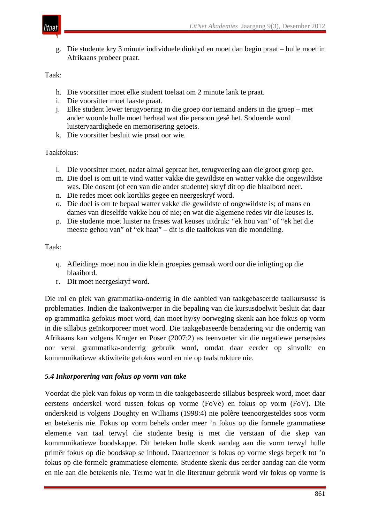

g. Die studente kry 3 minute individuele dinktyd en moet dan begin praat – hulle moet in Afrikaans probeer praat.

Taak:

- h. Die voorsitter moet elke student toelaat om 2 minute lank te praat.
- i. Die voorsitter moet laaste praat.
- j. Elke student lewer terugvoering in die groep oor iemand anders in die groep met ander woorde hulle moet herhaal wat die persoon gesê het. Sodoende word luistervaardighede en memorisering getoets.
- k. Die voorsitter besluit wie praat oor wie.

Taakfokus:

- l. Die voorsitter moet, nadat almal gepraat het, terugvoering aan die groot groep gee.
- m. Die doel is om uit te vind watter vakke die gewildste en watter vakke die ongewildste was. Die dosent (of een van die ander studente) skryf dit op die blaaibord neer.
- n. Die redes moet ook kortliks gegee en neergeskryf word.
- o. Die doel is om te bepaal watter vakke die gewildste of ongewildste is; of mans en dames van dieselfde vakke hou of nie; en wat die algemene redes vir die keuses is.
- p. Die studente moet luister na frases wat keuses uitdruk: "ek hou van" of "ek het die meeste gehou van" of "ek haat" – dit is die taalfokus van die mondeling.

Taak:

- q. Afleidings moet nou in die klein groepies gemaak word oor die inligting op die blaaibord.
- r. Dit moet neergeskryf word.

Die rol en plek van grammatika-onderrig in die aanbied van taakgebaseerde taalkursusse is problematies. Indien die taakontwerper in die bepaling van die kursusdoelwit besluit dat daar op grammatika gefokus moet word, dan moet hy/sy oorweging skenk aan hoe fokus op vorm in die sillabus geïnkorporeer moet word. Die taakgebaseerde benadering vir die onderrig van Afrikaans kan volgens Kruger en Poser (2007:2) as teenvoeter vir die negatiewe persepsies oor veral grammatika-onderrig gebruik word, omdat daar eerder op sinvolle en kommunikatiewe aktiwiteite gefokus word en nie op taalstrukture nie.

#### *5.4 Inkorporering van fokus op vorm van take*

Voordat die plek van fokus op vorm in die taakgebaseerde sillabus bespreek word, moet daar eerstens onderskei word tussen fokus op vorme (FoVe) en fokus op vorm (FoV). Die onderskeid is volgens Doughty en Williams (1998:4) nie polêre teenoorgesteldes soos vorm en betekenis nie. Fokus op vorm behels onder meer 'n fokus op die formele grammatiese elemente van taal terwyl die studente besig is met die verstaan of die skep van kommunikatiewe boodskappe. Dit beteken hulle skenk aandag aan die vorm terwyl hulle primêr fokus op die boodskap se inhoud. Daarteenoor is fokus op vorme slegs beperk tot 'n fokus op die formele grammatiese elemente. Studente skenk dus eerder aandag aan die vorm en nie aan die betekenis nie. Terme wat in die literatuur gebruik word vir fokus op vorme is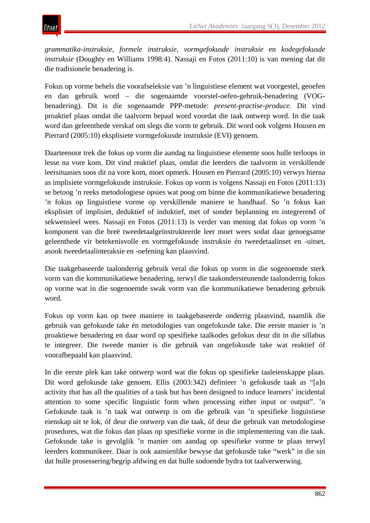*grammatika-instruksie*, *formele instruksie*, *vormgefokusde instruksie* en *kodegefokusde instruksie* (Doughty en Williams 1998:4). Nassaji en Fotos (2011:10) is van mening dat dit die tradisionele benadering is.

Fokus op vorme behels die voorafseleksie van 'n linguistiese element wat voorgestel, geoefen en dan gebruik word – die sogenaamde voorstel-oefen-gebruik-benadering (VOGbenadering). Dit is die sogenaamde PPP-metode: *present-practise-produce*. Dit vind proaktief plaas omdat die taalvorm bepaal word voordat die taak ontwerp word. In die taak word dan geleenthede verskaf om slegs die vorm te gebruik. Dit word ook volgens Housen en Pierrard (2005:10) eksplisiete vormgefokusde instruksie (EVI) genoem.

Daarteenoor trek die fokus op vorm die aandag na linguistiese elemente soos hulle terloops in lesse na vore kom. Dit vind reaktief plaas, omdat die leerders die taalvorm in verskillende leersituasies soos dit na vore kom, moet opmerk. Housen en Pierrard (2005:10) verwys hierna as implisiete vormgefokusde instruksie. Fokus op vorm is volgens Nassaji en Fotos (2011:13) se betoog 'n reeks metodologiese opsies wat poog om binne die kommunikatiewe benadering 'n fokus op linguistiese vorme op verskillende maniere te handhaaf. So 'n fokus kan eksplisiet of implisiet, deduktief of induktief, met of sonder beplanning en integrerend of sekwensieel wees. Nassaji en Fotos (2011:13) is verder van mening dat fokus op vorm 'n komponent van die breë tweedetaalgeïnstrukteerde leer moet wees sodat daar genoegsame geleenthede vir betekenisvolle en vormgefokusde instruksie én tweedetaalinset en -uitset, asook tweedetaalinteraksie en -oefening kan plaasvind.

Die taakgebaseerde taalonderrig gebruik veral die fokus op vorm in die sogenoemde sterk vorm van die kommunikatiewe benadering, terwyl die taakondersteunende taalonderrig fokus op vorme wat in die sogenoemde swak vorm van die kommunikatiewe benadering gebruik word.

Fokus op vorm kan op twee maniere in taakgebaseerde onderrig plaasvind, naamlik die gebruik van gefokusde take én metodologies van ongefokusde take. Die eerste manier is 'n proaktiewe benadering en daar word op spesifieke taalkodes gefokus deur dit in die sillabus te integreer. Die tweede manier is die gebruik van ongefokusde take wat reaktief óf voorafbepaald kan plaasvind.

In die eerste plek kan take ontwerp word wat die fokus op spesifieke taaleienskappe plaas. Dit word gefokusde take genoem. Ellis (2003:342) definieer 'n gefokusde taak as "[a]n activity that has all the qualities of a task but has been designed to induce learners' incidental attention to some specific linguistic form when processing either input or output". 'n Gefokusde taak is 'n taak wat ontwerp is om die gebruik van 'n spesifieke linguistiese eienskap uit te lok, óf deur die ontwerp van die taak, óf deur die gebruik van metodologiese prosedures, wat die fokus dan plaas op spesifieke vorme in die implementering van die taak. Gefokusde take is gevolglik 'n manier om aandag op spesifieke vorme te plaas terwyl leerders kommunikeer. Daar is ook aansienlike bewyse dat gefokusde take "werk" in die sin dat hulle prosessering/begrip afdwing en dat hulle sodoende bydra tot taalverwerwing.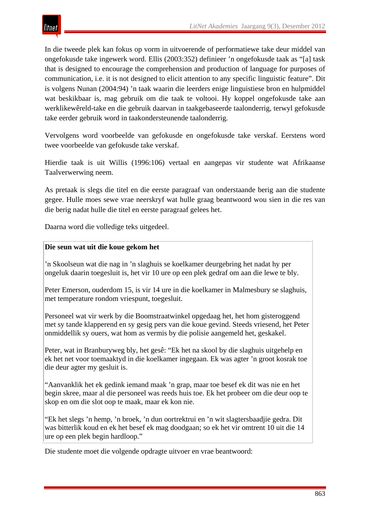In die tweede plek kan fokus op vorm in uitvoerende of performatiewe take deur middel van ongefokusde take ingewerk word. Ellis (2003:352) definieer 'n ongefokusde taak as "[a] task that is designed to encourage the comprehension and production of language for purposes of communication, i.e. it is not designed to elicit attention to any specific linguistic feature". Dit is volgens Nunan (2004:94) 'n taak waarin die leerders enige linguistiese bron en hulpmiddel wat beskikbaar is, mag gebruik om die taak te voltooi. Hy koppel ongefokusde take aan werklikewêreld-take en die gebruik daarvan in taakgebaseerde taalonderrig, terwyl gefokusde take eerder gebruik word in taakondersteunende taalonderrig.

Vervolgens word voorbeelde van gefokusde en ongefokusde take verskaf. Eerstens word twee voorbeelde van gefokusde take verskaf.

Hierdie taak is uit Willis (1996:106) vertaal en aangepas vir studente wat Afrikaanse Taalverwerwing neem.

As pretaak is slegs die titel en die eerste paragraaf van onderstaande berig aan die studente gegee. Hulle moes sewe vrae neerskryf wat hulle graag beantwoord wou sien in die res van die berig nadat hulle die titel en eerste paragraaf gelees het.

Daarna word die volledige teks uitgedeel.

# **Die seun wat uit die koue gekom het**

'n Skoolseun wat die nag in 'n slaghuis se koelkamer deurgebring het nadat hy per ongeluk daarin toegesluit is, het vir 10 ure op een plek gedraf om aan die lewe te bly.

Peter Emerson, ouderdom 15, is vir 14 ure in die koelkamer in Malmesbury se slaghuis, met temperature rondom vriespunt, toegesluit.

Personeel wat vir werk by die Boomstraatwinkel opgedaag het, het hom gisteroggend met sy tande klapperend en sy gesig pers van die koue gevind. Steeds vriesend, het Peter onmiddellik sy ouers, wat hom as vermis by die polisie aangemeld het, geskakel.

Peter, wat in Branburyweg bly, het gesê: "Ek het na skool by die slaghuis uitgehelp en ek het net voor toemaaktyd in die koelkamer ingegaan. Ek was agter 'n groot kosrak toe die deur agter my gesluit is.

"Aanvanklik het ek gedink iemand maak 'n grap, maar toe besef ek dit was nie en het begin skree, maar al die personeel was reeds huis toe. Ek het probeer om die deur oop te skop en om die slot oop te maak, maar ek kon nie.

"Ek het slegs 'n hemp, 'n broek, 'n dun oortrektrui en 'n wit slagtersbaadjie gedra. Dit was bitterlik koud en ek het besef ek mag doodgaan; so ek het vir omtrent 10 uit die 14 ure op een plek begin hardloop."

Die studente moet die volgende opdragte uitvoer en vrae beantwoord: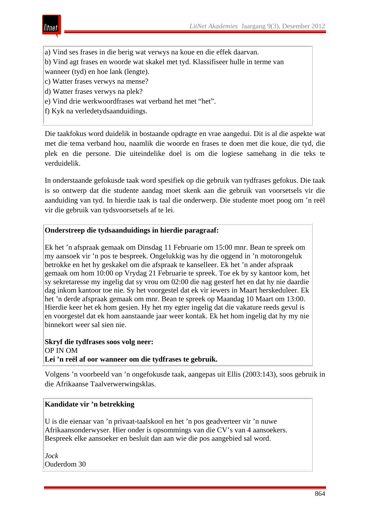

- a) Vind ses frases in die berig wat verwys na koue en die effek daarvan.
- b) Vind agt frases en woorde wat skakel met tyd. Klassifiseer hulle in terme van

wanneer (tyd) en hoe lank (lengte).

- c) Watter frases verwys na mense?
- d) Watter frases verwys na plek?
- e) Vind drie werkwoordfrases wat verband het met "het".
- f) Kyk na verledetydsaanduidings.

Die taakfokus word duidelik in bostaande opdragte en vrae aangedui. Dit is al die aspekte wat met die tema verband hou, naamlik die woorde en frases te doen met die koue, die tyd, die plek en die persone. Die uiteindelike doel is om die logiese samehang in die teks te verduidelik.

In onderstaande gefokusde taak word spesifiek op die gebruik van tydfrases gefokus. Die taak is so ontwerp dat die studente aandag moet skenk aan die gebruik van voorsetsels vir die aanduiding van tyd. In hierdie taak is taal die onderwerp. Die studente moet poog om 'n reël vir die gebruik van tydsvoorsetsels af te lei.

# **Onderstreep die tydsaanduidings in hierdie paragraaf:**

Ek het 'n afspraak gemaak om Dinsdag 11 Februarie om 15:00 mnr. Bean te spreek om my aansoek vir 'n pos te bespreek. Ongelukkig was hy die oggend in 'n motorongeluk betrokke en het hy geskakel om die afspraak te kanselleer. Ek het 'n ander afspraak gemaak om hom 10:00 op Vrydag 21 Februarie te spreek. Toe ek by sy kantoor kom, het sy sekretaresse my ingelig dat sy vrou om 02:00 die nag gesterf het en dat hy nie daardie dag inkom kantoor toe nie. Sy het voorgestel dat ek vir iewers in Maart herskeduleer. Ek het 'n derde afspraak gemaak om mnr. Bean te spreek op Maandag 10 Maart om 13:00. Hierdie keer het ek hom gesien. Hy het my egter ingelig dat die vakature reeds gevul is en voorgestel dat ek hom aanstaande jaar weer kontak. Ek het hom ingelig dat hy my nie binnekort weer sal sien nie.

**Skryf die tydfrases soos volg neer:** OP IN OM **Lei 'n reël af oor wanneer om die tydfrases te gebruik.**

Volgens 'n voorbeeld van 'n ongefokusde taak, aangepas uit Ellis (2003:143), soos gebruik in die Afrikaanse Taalverwerwingsklas.

#### **Kandidate vir 'n betrekking**

U is die eienaar van 'n privaat-taalskool en het 'n pos geadverteer vir 'n nuwe Afrikaansonderwyser. Hier onder is opsommings van die CV's van 4 aansoekers. Bespreek elke aansoeker en besluit dan aan wie die pos aangebied sal word.

*Jock* Ouderdom 30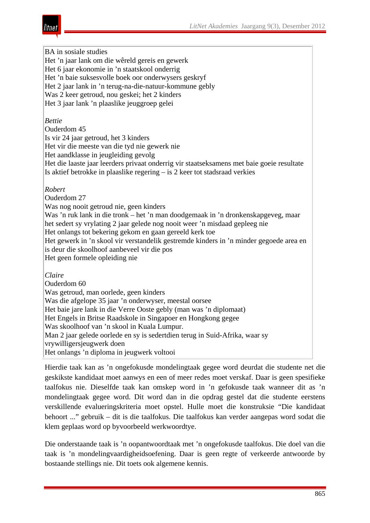BA in sosiale studies Het 'n jaar lank om die wêreld gereis en gewerk Het 6 jaar ekonomie in 'n staatskool onderrig Het 'n baie suksesvolle boek oor onderwysers geskryf Het 2 jaar lank in 'n terug-na-die-natuur-kommune gebly Was 2 keer getroud, nou geskei; het 2 kinders Het 3 jaar lank 'n plaaslike jeuggroep gelei *Bettie* Ouderdom 45 Is vir 24 jaar getroud, het 3 kinders Het vir die meeste van die tyd nie gewerk nie Het aandklasse in jeugleiding gevolg Het die laaste jaar leerders privaat onderrig vir staatseksamens met baie goeie resultate Is aktief betrokke in plaaslike regering – is 2 keer tot stadsraad verkies *Robert*  Ouderdom 27 Was nog nooit getroud nie, geen kinders Was 'n ruk lank in die tronk – het 'n man doodgemaak in 'n dronkenskapgeveg, maar het sedert sy vrylating 2 jaar gelede nog nooit weer 'n misdaad gepleeg nie Het onlangs tot bekering gekom en gaan gereeld kerk toe Het gewerk in 'n skool vir verstandelik gestremde kinders in 'n minder gegoede area en is deur die skoolhoof aanbeveel vir die pos Het geen formele opleiding nie *Claire*  Ouderdom 60 Was getroud, man oorlede, geen kinders Was die afgelope 35 jaar 'n onderwyser, meestal oorsee Het baie jare lank in die Verre Ooste gebly (man was 'n diplomaat) Het Engels in Britse Raadskole in Singapoer en Hongkong gegee Was skoolhoof van 'n skool in Kuala Lumpur. Man 2 jaar gelede oorlede en sy is sedertdien terug in Suid-Afrika, waar sy vrywilligersjeugwerk doen Het onlangs 'n diploma in jeugwerk voltooi

Hierdie taak kan as 'n ongefokusde mondelingtaak gegee word deurdat die studente net die geskikste kandidaat moet aanwys en een of meer redes moet verskaf. Daar is geen spesifieke taalfokus nie. Dieselfde taak kan omskep word in 'n gefokusde taak wanneer dit as 'n mondelingtaak gegee word. Dit word dan in die opdrag gestel dat die studente eerstens verskillende evalueringskriteria moet opstel. Hulle moet die konstruksie "Die kandidaat behoort ..." gebruik – dit is die taalfokus. Die taalfokus kan verder aangepas word sodat die klem geplaas word op byvoorbeeld werkwoordtye.

Die onderstaande taak is 'n oopantwoordtaak met 'n ongefokusde taalfokus. Die doel van die taak is 'n mondelingvaardigheidsoefening. Daar is geen regte of verkeerde antwoorde by bostaande stellings nie. Dit toets ook algemene kennis.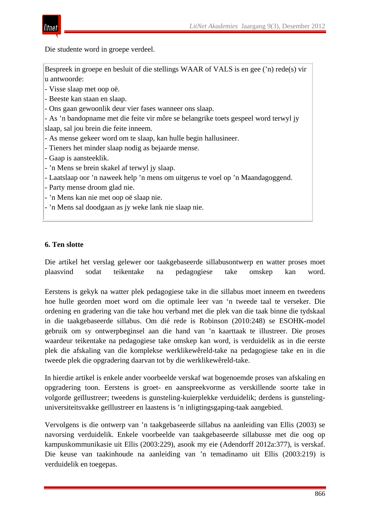

Die studente word in groepe verdeel.

Bespreek in groepe en besluit of die stellings WAAR of VALS is en gee ('n) rede(s) vir u antwoorde:

- Visse slaap met oop oë.

- Beeste kan staan en slaap.

- Ons gaan gewoonlik deur vier fases wanneer ons slaap.

- As 'n bandopname met die feite vir môre se belangrike toets gespeel word terwyl jy

slaap, sal jou brein die feite inneem.

- As mense gekeer word om te slaap, kan hulle begin hallusineer.

- Tieners het minder slaap nodig as bejaarde mense.

- Gaap is aansteeklik.

- 'n Mens se brein skakel af terwyl jy slaap.
- Laatslaap oor 'n naweek help 'n mens om uitgerus te voel op 'n Maandagoggend.
- Party mense droom glad nie.
- 'n Mens kan nie met oop oë slaap nie.
- 'n Mens sal doodgaan as jy weke lank nie slaap nie.

# **6. Ten slotte**

Die artikel het verslag gelewer oor taakgebaseerde sillabusontwerp en watter proses moet plaasvind sodat teikentake na pedagogiese take omskep kan word.

Eerstens is gekyk na watter plek pedagogiese take in die sillabus moet inneem en tweedens hoe hulle georden moet word om die optimale leer van 'n tweede taal te verseker. Die ordening en gradering van die take hou verband met die plek van die taak binne die tydskaal in die taakgebaseerde sillabus. Om dié rede is Robinson (2010:248) se ESOHK-model gebruik om sy ontwerpbeginsel aan die hand van 'n kaarttaak te illustreer. Die proses waardeur teikentake na pedagogiese take omskep kan word, is verduidelik as in die eerste plek die afskaling van die komplekse werklikewêreld-take na pedagogiese take en in die tweede plek die opgradering daarvan tot by die werklikewêreld-take.

In hierdie artikel is enkele ander voorbeelde verskaf wat bogenoemde proses van afskaling en opgradering toon. Eerstens is groet- en aanspreekvorme as verskillende soorte take in volgorde geïllustreer; tweedens is gunsteling-kuierplekke verduidelik; derdens is gunstelinguniversiteitsvakke geïllustreer en laastens is 'n inligtingsgaping-taak aangebied.

Vervolgens is die ontwerp van 'n taakgebaseerde sillabus na aanleiding van Ellis (2003) se navorsing verduidelik. Enkele voorbeelde van taakgebaseerde sillabusse met die oog op kampuskommunikasie uit Ellis (2003:229), asook my eie (Adendorff 2012a:377), is verskaf. Die keuse van taakinhoude na aanleiding van 'n temadinamo uit Ellis (2003:219) is verduidelik en toegepas.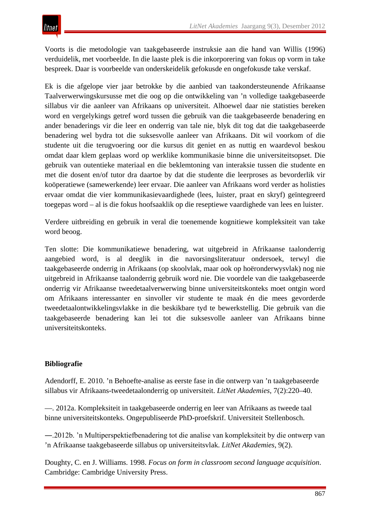Voorts is die metodologie van taakgebaseerde instruksie aan die hand van Willis (1996) verduidelik, met voorbeelde. In die laaste plek is die inkorporering van fokus op vorm in take bespreek. Daar is voorbeelde van onderskeidelik gefokusde en ongefokusde take verskaf.

Ek is die afgelope vier jaar betrokke by die aanbied van taakondersteunende Afrikaanse Taalverwerwingskursusse met die oog op die ontwikkeling van 'n volledige taakgebaseerde sillabus vir die aanleer van Afrikaans op universiteit. Alhoewel daar nie statisties bereken word en vergelykings getref word tussen die gebruik van die taakgebaseerde benadering en ander benaderings vir die leer en onderrig van tale nie, blyk dit tog dat die taakgebaseerde benadering wel bydra tot die suksesvolle aanleer van Afrikaans. Dit wil voorkom of die studente uit die terugvoering oor die kursus dit geniet en as nuttig en waardevol beskou omdat daar klem geplaas word op werklike kommunikasie binne die universiteitsopset. Die gebruik van outentieke materiaal en die beklemtoning van interaksie tussen die studente en met die dosent en/of tutor dra daartoe by dat die studente die leerproses as bevorderlik vir koöperatiewe (samewerkende) leer ervaar. Die aanleer van Afrikaans word verder as holisties ervaar omdat die vier kommunikasievaardighede (lees, luister, praat en skryf) geïntegreerd toegepas word – al is die fokus hoofsaaklik op die reseptiewe vaardighede van lees en luister.

Verdere uitbreiding en gebruik in veral die toenemende kognitiewe kompleksiteit van take word beoog.

Ten slotte: Die kommunikatiewe benadering, wat uitgebreid in Afrikaanse taalonderrig aangebied word, is al deeglik in die navorsingsliteratuur ondersoek, terwyl die taakgebaseerde onderrig in Afrikaans (op skoolvlak, maar ook op hoëronderwysvlak) nog nie uitgebreid in Afrikaanse taalonderrig gebruik word nie. Die voordele van die taakgebaseerde onderrig vir Afrikaanse tweedetaalverwerwing binne universiteitskonteks moet ontgin word om Afrikaans interessanter en sinvoller vir studente te maak én die mees gevorderde tweedetaalontwikkelingsvlakke in die beskikbare tyd te bewerkstellig. Die gebruik van die taakgebaseerde benadering kan lei tot die suksesvolle aanleer van Afrikaans binne universiteitskonteks.

# **Bibliografie**

Adendorff, E. 2010. 'n Behoefte-analise as eerste fase in die ontwerp van 'n taakgebaseerde sillabus vir Afrikaans-tweedetaalonderrig op universiteit. *LitNet Akademies*, 7(2):220–40.

—. 2012a. Kompleksiteit in taakgebaseerde onderrig en leer van Afrikaans as tweede taal binne universiteitskonteks. Ongepubliseerde PhD-proefskrif. Universiteit Stellenbosch.

―.2012b. 'n Multiperspektiefbenadering tot die analise van kompleksiteit by die ontwerp van 'n Afrikaanse taakgebaseerde sillabus op universiteitsvlak. *LitNet Akademies*, 9(2).

Doughty, C. en J. Williams. 1998. *Focus on form in classroom second language acquisition*. Cambridge: Cambridge University Press.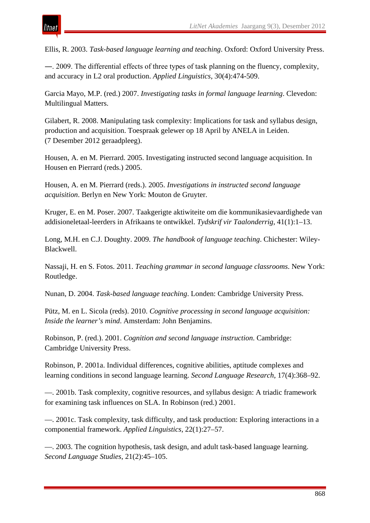

Ellis, R. 2003. *Task-based language learning and teaching*. Oxford: Oxford University Press.

―. 2009. The differential effects of three types of task planning on the fluency, complexity, and accuracy in L2 oral production. *Applied Linguistics*, 30(4):474-509.

Garcia Mayo, M.P. (red.) 2007. *Investigating tasks in formal language learning*. Clevedon: Multilingual Matters.

Gilabert, R. 2008. Manipulating task complexity: Implications for task and syllabus design, production and acquisition. Toespraak gelewer op 18 April by ANELA in Leiden. (7 Desember 2012 geraadpleeg).

Housen, A. en M. Pierrard. 2005. Investigating instructed second language acquisition. In Housen en Pierrard (reds.) 2005.

Housen, A. en M. Pierrard (reds.). 2005. *Investigations in instructed second language acquisition*. Berlyn en New York: Mouton de Gruyter.

Kruger, E. en M. Poser. 2007. Taakgerigte aktiwiteite om die kommunikasievaardighede van addisioneletaal-leerders in Afrikaans te ontwikkel. *Tydskrif vir Taalonderrig*, 41(1):1–13.

Long, M.H. en C.J. Doughty. 2009. *The handbook of language teaching*. Chichester: Wiley-Blackwell.

Nassaji, H. en S. Fotos. 2011. *Teaching grammar in second language classrooms*. New York: Routledge.

Nunan, D. 2004. *Task-based language teaching*. Londen: Cambridge University Press.

Pütz, M. en L. Sicola (reds). 2010. *Cognitive processing in second language acquisition: Inside the learner's mind*. Amsterdam: John Benjamins.

Robinson, P. (red.). 2001. *Cognition and second language instruction*. Cambridge: Cambridge University Press.

Robinson, P. 2001a. Individual differences, cognitive abilities, aptitude complexes and learning conditions in second language learning. *Second Language Research*, 17(4):368–92.

—. 2001b. Task complexity, cognitive resources, and syllabus design: A triadic framework for examining task influences on SLA. In Robinson (red.) 2001.

—. 2001c. Task complexity, task difficulty, and task production: Exploring interactions in a componential framework. *Applied Linguistics*, 22(1):27–57.

—. 2003. The cognition hypothesis, task design, and adult task-based language learning. *Second Language Studies*, 21(2):45–105.